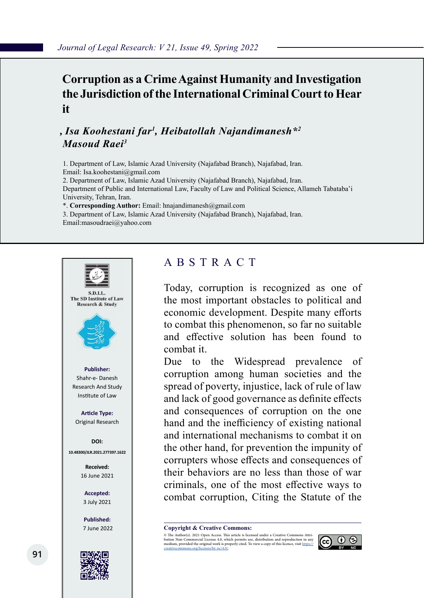## **Corruption as a CrimeAgainst Humanity and Investigation the Jurisdiction of the International Criminal Court to Hear it**

## *, Isa Koohestani far<sup>1</sup> , Heibatollah Najandimanesh\*<sup>2</sup> Masoud Raei<sup>3</sup>*

1. Department of Law, Islamic Azad University (Najafabad Branch), Najafabad, Iran. Email: Isa.koohestani@gmail.com

2. Department of Law, Islamic Azad University (Najafabad Branch), Najafabad, Iran. Department of Public and International Law, Faculty of Law and Political Science, Allameh Tabataba'i University, Tehran, Iran.

\*. **Corresponding Author:** Email: hnajandimanesh@gmail.com

3. Department of Law, Islamic Azad University (Najafabad Branch), Najafabad, Iran. Email:masoudraei@yahoo.com



## ABSTRACT

Today, corruption is recognized as one of the most important obstacles to political and economic development. Despite many efforts to combat this phenomenon, so far no suitable and effective solution has been found to combat it.

Due to the Widespread prevalence of corruption among human societies and the spread of poverty, injustice, lack of rule of law and lack of good governance as definite effects and consequences of corruption on the one hand and the inefficiency of existing national and international mechanisms to combat it on the other hand, for prevention the impunity of corrupters whose effects and consequences of their behaviors are no less than those of war criminals, one of the most effective ways to combat corruption, Citing the Statute of the

**Copyright & Creative Commons:**<br>© The Author(s). 2021 Open Access. This article is licensed under a Creative Commons Attri-

© The Author(s). 2021 Open Access. This article is licensed under a Creative Commons Attri- bution Non-Commercial License 4.0, which permits use, distribution and reproduction in any medium, provided the original work is properly cited. To view a copy of this licence, visit https://<br>creativecommons.org/licenses/by-nc/4.0/.

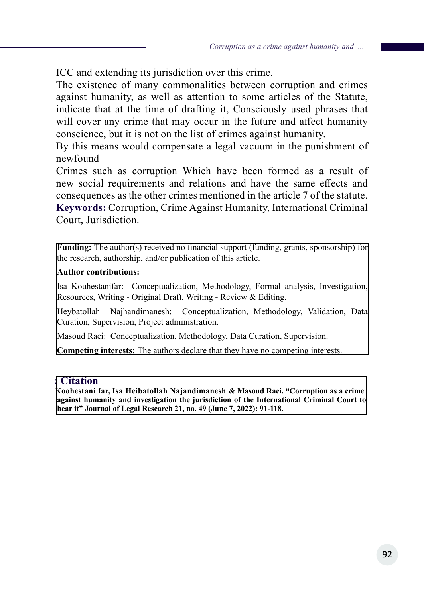ICC and extending its jurisdiction over this crime.

The existence of many commonalities between corruption and crimes against humanity, as well as attention to some articles of the Statute, indicate that at the time of drafting it, Consciously used phrases that will cover any crime that may occur in the future and affect humanity conscience, but it is not on the list of crimes against humanity.

By this means would compensate a legal vacuum in the punishment of newfound

Crimes such as corruption Which have been formed as a result of new social requirements and relations and have the same effects and consequences as the other crimes mentioned in the article 7 of the statute. **Keywords:** Corruption, Crime Against Humanity, International Criminal Court, Jurisdiction.

**Funding:** The author(s) received no financial support (funding, grants, sponsorship) for the research, authorship, and/or publication of this article.

#### **Author contributions:**

Isa Kouhestanifar: Conceptualization, Methodology, Formal analysis, Investigation, Resources, Writing - Original Draft, Writing - Review & Editing.

Heybatollah Najhandimanesh: Conceptualization, Methodology, Validation, Data Curation, Supervision, Project administration.

Masoud Raei: Conceptualization, Methodology, Data Curation, Supervision.

**Competing interests:** The authors declare that they have no competing interests.

#### **: Citation**

**Koohestani far, Isa Heibatollah Najandimanesh & Masoud Raei. "Corruption as a crime against humanity and investigation the jurisdiction of the International Criminal Court to hear it" Journal of Legal Research 21, no. 49 (June 7, 2022): 91-118.**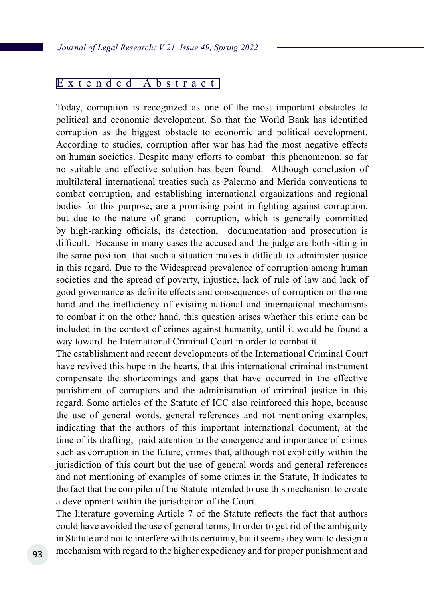#### Extended Abstract

Today, corruption is recognized as one of the most important obstacles to political and economic development, So that the World Bank has identified corruption as the biggest obstacle to economic and political development. According to studies, corruption after war has had the most negative effects on human societies. Despite many efforts to combat this phenomenon, so far no suitable and effective solution has been found. Although conclusion of multilateral international treaties such as Palermo and Merida conventions to combat corruption, and establishing international organizations and regional bodies for this purpose; are a promising point in fighting against corruption, but due to the nature of grand corruption, which is generally committed by high-ranking officials, its detection, documentation and prosecution is difficult. Because in many cases the accused and the judge are both sitting in the same position that such a situation makes it difficult to administer justice in this regard. Due to the Widespread prevalence of corruption among human societies and the spread of poverty, injustice, lack of rule of law and lack of good governance as definite effects and consequences of corruption on the one hand and the inefficiency of existing national and international mechanisms to combat it on the other hand, this question arises whether this crime can be included in the context of crimes against humanity, until it would be found a way toward the International Criminal Court in order to combat it.

The establishment and recent developments of the International Criminal Court have revived this hope in the hearts, that this international criminal instrument compensate the shortcomings and gaps that have occurred in the effective punishment of corruptors and the administration of criminal justice in this regard. Some articles of the Statute of ICC also reinforced this hope, because the use of general words, general references and not mentioning examples, indicating that the authors of this important international document, at the time of its drafting, paid attention to the emergence and importance of crimes such as corruption in the future, crimes that, although not explicitly within the jurisdiction of this court but the use of general words and general references and not mentioning of examples of some crimes in the Statute, It indicates to the fact that the compiler of the Statute intended to use this mechanism to create a development within the jurisdiction of the Court.

The literature governing Article 7 of the Statute reflects the fact that authors could have avoided the use of general terms, In order to get rid of the ambiguity in Statute and not to interfere with its certainty, but it seems they want to design a mechanism with regard to the higher expediency and for proper punishment and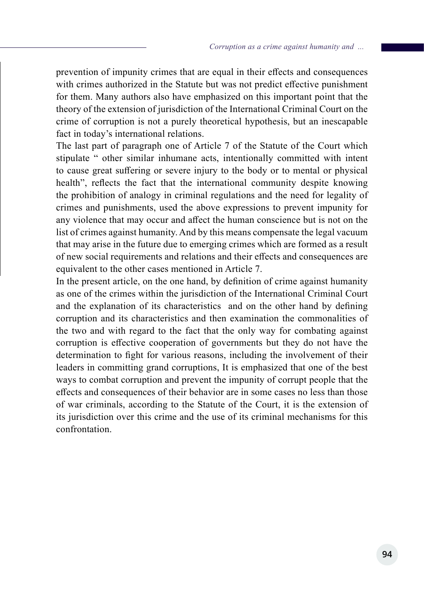prevention of impunity crimes that are equal in their effects and consequences with crimes authorized in the Statute but was not predict effective punishment for them. Many authors also have emphasized on this important point that the theory of the extension of jurisdiction of the International Criminal Court on the crime of corruption is not a purely theoretical hypothesis, but an inescapable fact in today's international relations.

The last part of paragraph one of Article 7 of the Statute of the Court which stipulate " other similar inhumane acts, intentionally committed with intent to cause great suffering or severe injury to the body or to mental or physical health", reflects the fact that the international community despite knowing the prohibition of analogy in criminal regulations and the need for legality of crimes and punishments, used the above expressions to prevent impunity for any violence that may occur and affect the human conscience but is not on the list of crimes against humanity. And by this means compensate the legal vacuum that may arise in the future due to emerging crimes which are formed as a result of new social requirements and relations and their effects and consequences are equivalent to the other cases mentioned in Article 7.

In the present article, on the one hand, by definition of crime against humanity as one of the crimes within the jurisdiction of the International Criminal Court and the explanation of its characteristics and on the other hand by defining corruption and its characteristics and then examination the commonalities of the two and with regard to the fact that the only way for combating against corruption is effective cooperation of governments but they do not have the determination to fight for various reasons, including the involvement of their leaders in committing grand corruptions, It is emphasized that one of the best ways to combat corruption and prevent the impunity of corrupt people that the effects and consequences of their behavior are in some cases no less than those of war criminals, according to the Statute of the Court, it is the extension of its jurisdiction over this crime and the use of its criminal mechanisms for this confrontation.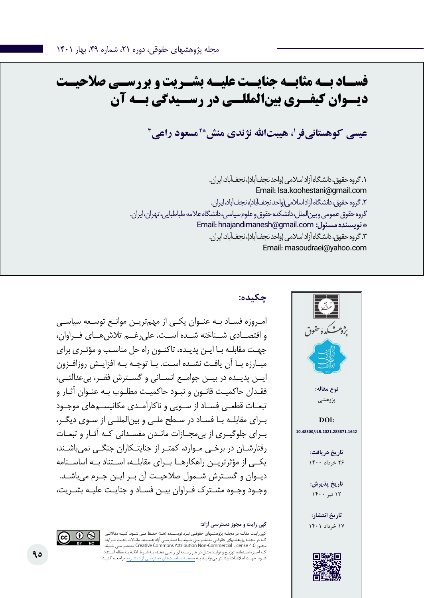# **فسـاد بـه مثابـه جنایـت علیـه بشـریت و بررسـی صالحیـت دیــوان کیفــری بینالمللــی در رســیدگی بــه آن**

عیسی کوهستانیفر **'، هیبتالله نژندی منش\*<sup>۲</sup>مسعود راعی** *"* 

.1 گروه حقوق، دانشگاه آزاد اسالمی )واحد نجفآباد(، نجفآباد، ایران. Email: Isa.koohestani@gmail.com .2 گروه حقوق، دانشگاه آزاد اسالمی)واحد نجفآباد(، نجفآباد، ایران. گروه حقوق عمومی و بینالملل، دانشکده حقوق و علوم سیاسی، دانشگاه عالمه طباطبایی، تهران، ایران. Email: hnajandimanesh@gmail.com **:مسئول نویسنده\***  .3 گروه حقوق، دانشگاه آزاد اسالمی )واحد نجفآباد(، نجفآباد، ایران. Email: masoudraei@yahoo.com



## **چکیده:**

امـروزه فسـاد بـه عنـوان یکـی از مهمتریـن موانـع توسـعه سیاسـی و اقتصــادی شــناخته شــده اســت. علیرغــم تالشهــای فــراوان، جهـت مقابلـه بـا ایـن پدیـده، تاکنـون راه حل مناسـب و مؤثـری برای مبـارزه بـا آن یافـت نشـده اسـت. بـا توجـه بـه افزایـش روزافـزون ایــن پدیــده در بیــن جوامــع انســانی و گســترش فقــر، بیعدالتــی، فقـدان حاکمیـت قانـون و نبـود حاکمیـت مطلـوب بـه عنـوان آثـار و تبعــات قطعــی فســاد از ســویی و ناکارآمــدی مکانیســمهای موجــود بـرای مقابلـه بـا فسـاد در سـطح ملـی و بینالمللـی از سـوی دیگـر، بـرای جلوگیـری از بیمجـازات مانـدن مفسـدانی کـه آثـار و تبعـات رفتارشـان در برخـی مـوارد، کمتـر از جنایتـکاران جنگـی نمیباشـند، یکــی از مؤثرتریــن راهکارهــا بــرای مقابلــه، اســتناد بــه اساســنامه دیــوان و گســترش شــمول صالحیــت آن بــر ایــن جــرم میباشــد. وجـود وجـوه مشـترک فـراوان بیـن فسـاد و جنایـت علیـه بشـریت،

کپیرایـت مقالـه در مجلـه پژوهشـهای حقوقـی نـزد نویسـنده )هـا( حفـظ مـی شـود. کلیـه مقاالتـی ـهای حقوقـی منتشـر مـی شـوند بـا دسترسـی آزاد هسـتند. مقـالات تحـت شـرایط شـوند مـی منتشـر Creative Commons Attribution Non-Commercial License 4.0 مجـوز کـه اجـازه اسـتفاده، توزیـع و تولیـد مثـل در هـر رسـانه ای را مـی دهـد، بـه شـرط آنکـه بـه مقاله اسـتناد شـود. جهـت اطالعـات بیشـتر میتوانیـد بـه صفحـه سیاسـتهای دسترسـی آزاد نشـریه مراجعـه کنیـد.

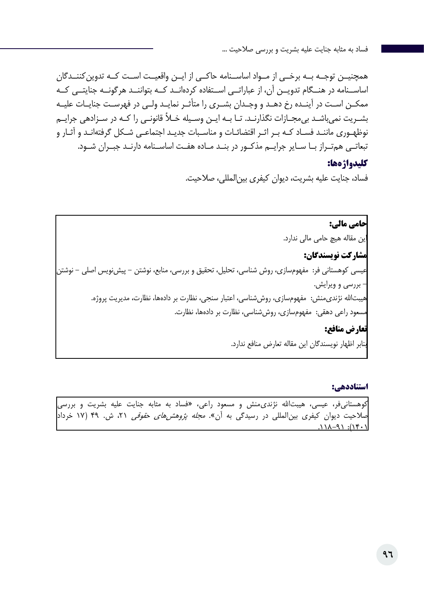همچنیــن توجــه بــه برخــی از مــواد اساســنامه حاکــی از ایــن واقعیــت اســت کــه تدوینکننــدگان اساســنامه در هنــگام تدویــن آن، از عباراتــی اســتفاده کردهانــد کــه بتواننــد هرگونــه جنایتــی کــه ممکــن اســت در آینــده رخ دهــد و وجــدان بشــری را متأثــر نمایــد ولــی در فهرســت جنایــات علیــه بشـریت نمیباشـد بیمجـازات نگذارنـد. تـا بـه ایـن وسـیله خـأ قانونـی را کـه در سـزادهی جرایـم نوظهـوری ماننـد فسـاد کـه بـر اثـر اقتضائـات و مناسـبات جدیـد اجتماعـی شـکل گرفتهانـد و آثـار و تبعاتــی همتــراز بــا ســایر جرایــم مذکــور در بنــد مــاده هفــت اساســنامه دارنــد جبــران شــود.

### **کلیدواژهها:**

فساد، جنایت علیه بشریت، دیوان کیفری بینالمللی، صالحیت.

**حامی مالی:**  این مقاله هیچ حامی مالی ندارد. **مشارکت نویسندگان:**  عیسی کوهستانی فر: مفهومسازی، روش شناسی، تحلیل، تحقیق و بررسی، منابع، نوشتن - پیشنویس اصلی - نوشتن - بررسی و ویرایش. هیبتالله نژندی،منش: مفهومسازی، روششناسی، اعتبار سنجی، نظارت بر دادهها، نظارت، مدیریت پروژه. مسعود راعی دهقی: مفهومسازی، روششناسی، نظارت بر دادهها، نظارت. **تعارض منافع:**  بنابر اظهار نویسندگان این مقاله تعارض منافع ندارد.

#### **استناددهی:**

کوهستانیفر، عیسی، هیبتالله نژندیمنش و مسعود راعی، «فساد به مثابه جنایت علیه بشریت و بررسی صلاحیت دیوان کیفری بین|لمللی در رسیدگی به آن». *مجله پژوهشهای حقوقی* ۲۱، ش. ۴۹ (۱۷ خرداد<mark>.</mark>  $(1.71)$ :  $(9 - \lambda)$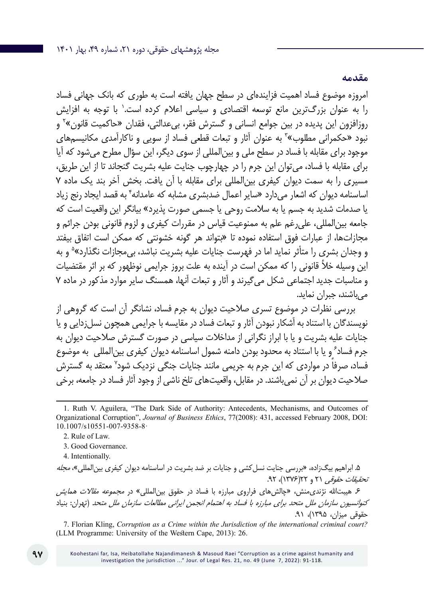**مقدمه**

امروزه موضوع فساد اهمیت فزایندهای در سطح جهان یافته است به طوری که بانک جهانی فساد را به عنوان بزرگترین مانع توسعه اقتصادی و سیاسی اعلام کرده است.' با توجه به افزایش روزافزون این پدیده در بین جوامع انسانی و گسترش فقر، بیعدالتی، فقدان «حاکمیت قانون»<sup>۲</sup> و نبود «حکمرانی مطلوب»<sup>۳</sup> به عنوان آثار و تبعات قطعی فساد از سویی و ناکارآمدی مکانیسمهای موجود برای مقابله با فساد در سطح ملی و بینالمللی از سوی دیگر، این سؤال مطرح میشود که آیا برای مقابله با فساد، میتوان این جرم را در چهارچوب جنایت علیه بشریت گنجاند تا از این طریق، مسیری را به سمت دیوان کیفری بینالمللی برای مقابله با آن یافت. بخش آخر بند یک ماده 7 اساسنامه دیوان که اشعار میدارد «سایر اعمال ضدبشری مشابه که عامدانه<sup>۴</sup> به قصد ایجاد رنج زیاد یا صدمات شدید به جسم یا به سالمت روحی یا جسمی صورت پذیرد« بیانگر این واقعیت است که جامعه بینالمللی، علیرغم علم به ممنوعیت قیاس در مقررات کیفری و لزوم قانونی بودن جرائم و مجازاتها، از عبارات فوق استفاده نموده تا »بتواند هر گونه خشونتی که ممکن است اتفاق بیفتد و وجدان بشری را متأثر نماید اما در فهرست جنایات علیه بشریت نباشد، بیمجازات نگذارد»<sup>ه</sup> و به این وسیله خأل قانونی را که ممکن است در آینده به علت بروز جرایمی نوظهور که بر اثر مقتضیات و مناسبات جدید اجتماعی شکل میگیرند و آثار و تبعات آنها، همسنگ سایر موارد مذکور در ماده 7 میباشند، جبران نماید.

بررسی نظرات در موضوع تسری صالحیت دیوان به جرم فساد، نشانگر آن است که گروهی از نویسندگان با استناد به آشکار نبودن آثار و تبعات فساد در مقایسه با جرایمی همچون نسلزدایی و یا جنایات علیه بشریت و یا با ابراز نگرانی از مداخالت سیاسی در صورت گسترش صالحیت دیوان به جرم فساد ٔ و یا با استناد به محدود بودن دامنه شمول اساسنامه دیوان کیفری بینالمللی به موضوع فساد، صرفاً در مواردی که این جرم به جریمی مانند جنایات جنگی نزدیک شود<sup>۷</sup> معتقد به گسترش صالحیت دیوان بر آن نمیباشند. در مقابل، واقعیتهای تلخ ناشی از وجود آثار فساد در جامعه، برخی

4. Intentionally.

۵. ابراهیم بیگزاده، «بررسی جنایت نسل کشی و جنایات بر ضد بشریت در اساسنامه دیوان کیفری بین|لمللی»، *مجله تحقیقات حقوقی* ۲۱ و ۲۲(۱۳۷۶)، ۹۲.

۶. هیبتالله نژندی منش، «چالش های فراروی مبارزه با فساد در حقوق بین|لمللی» در *مجموعه مقالات همایش* کن*وانسیون سازمان ملل متحد برای مبارزه با فساد به اهتمام انجمن ایرانی مطالعات سازمان ملل متحد* (تهران: بنیاد حقوقی میزان، ۱۳۹۵)، ۹۱.

7. Florian Kling, *Corruption as a Crime within the Jurisdiction of the international criminal court?* (LLM Programme: University of the Western Cape, 2013): 26.

<sup>1</sup>. Ruth V. Aguilera, "The Dark Side of Authority: Antecedents, Mechanisms, and Outcomes of Organizational Corruption", *Journal of Business Ethics*, 77(2008): 431, accessed February 2008, DOI: 10.1007/s10551-007-9358-8·

<sup>2.</sup> Rule of Law.

<sup>3.</sup> Good Governance.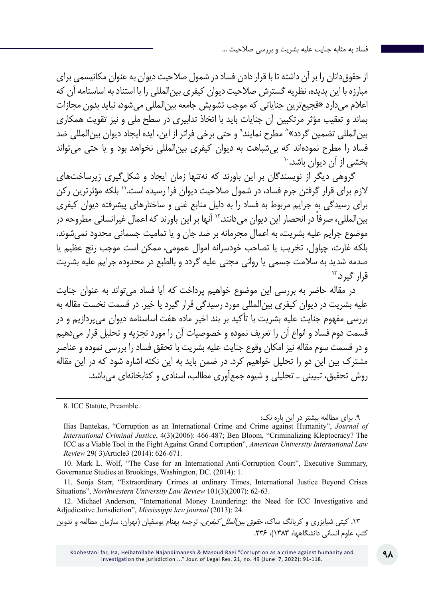از حقوقدانان را بر آن داشته تا با قرار دادن فساد در شمول صالحیت دیوان به عنوان مکانیسمی برای مبارزه با این پدیده، نظریه گسترش صالحیت دیوان کیفری بینالمللی را با استناد به اساسنامه آن که اعالم میدارد »فجیعترین جنایاتی که موجب تشویش جامعه بینالمللی میشود، نباید بدون مجازات بماند و تعقیب مؤثر مرتکبین آن جنایات باید با اتخاذ تدابیری در سطح ملی و نیز تقویت همکاری بین|لمللی تضمین گردد»^ مطرح نمایند<sup>۹</sup> و حتی برخی فراتر از این، ایده ایجاد دیوان بین|لمللی ضد فساد را مطرح نمودهاند که بیشباهت به دیوان کیفری بین|لمللی نخواهد بود و یا حتی میتواند<br>بخشی از آن دیوان باشد. ``

گروهی دیگر از نویسندگان بر این باورند که نهتنها زمان ایجاد و شکل گیری زیرساختهای الزم برای قرار گرفتن جرم فساد، در شمول صالحیت دیوان فرا رسیده است11. بلکه مؤثرترین رکن برای رسیدگی به جرایم مربوط به فساد را به دلیل منابع غنی و ساختارهای پیشرفته دیوان کیفری بین|لمللی، صرفاً در انحصار این دیوان می دانند.'`` آنها بر این باورند که اعمال غیرانسانی مطروحه در موضوع جرایم علیه بشریت، به اعمال مجرمانه بر ضد جان و یا تمامیت جسمانی محدود نمیشوند، بلکه غارت، چپاول، تخریب یا تصاحب خودسرانه اموال عمومی، ممکن است موجب رنج عظیم یا صدمه شدید به سالمت جسمی یا روانی مجنی علیه گردد و بالطبع در محدوده جرایم علیه بشریت قرار گیرد."

در مقاله حاضر به بررسی این موضوع خواهیم پرداخت که آیا فساد میتواند به عنوان جنایت علیه بشریت در دیوان کیفری بینالمللی مورد رسیدگی قرار گیرد یا خیر. در قسمت نخست مقاله به بررسی مفهوم جنایت علیه بشریت با تأکید بر بند اخیر ماده هفت اساسنامه دیوان میپردازیم و در قسمت دوم فساد و انواع آن را تعریف نموده و خصوصیات آن را مورد تجزیه و تحلیل قرار میدهیم و در قسمت سوم مقاله نیز امکان وقوع جنایت علیه بشریت با تحقق فساد را بررسی نموده و عناصر مشترک بین این دو را تحلیل خواهیم کرد. در ضمن باید به این نکته اشاره شود که در این مقاله روش تحقیق، تبیینی ـ تحلیلی و شیوه جمعآوری مطالب، اسنادی و کتابخانهای میباشد.

8. ICC Statute, Preamble.

.9 برای مطالعه بیشتر در این باره نک:

۱۳. کیتی شیایزری و کریانگ ساک*، حقوق بین الملل کیفری*، ترجمه بهنام یوسفیان (تهران: سازمان مطالعه و تدوین کتب علوم انسانی دانشگاهها، 1383(، .236

Ilias Bantekas, "Corruption as an International Crime and Crime against Humanity", *Journal of International Criminal Justice*, 4(3)(2006): 466-487; Ben Bloom, "Criminalizing Kleptocracy? The ICC as a Viable Tool in the Fight Against Grand Corruption", *American University International Law Review* 29( 3)Article3 (2014): 626-671.

<sup>10.</sup> Mark L. Wolf, "The Case for an International Anti-Corruption Court", Executive Summary, Governance Studies at Brookings, Washington, DC. (2014): 1.

<sup>11.</sup> Sonja Starr, "Extraordinary Crimes at ordinary Times, International Justice Beyond Crises Situations", *Northwestern University Law Review* 101(3)(2007): 62-63.

<sup>12.</sup> Michael Anderson, "International Money Laundering: the Need for ICC Investigative and Adjudicative Jurisdiction", *Mississippi law journal* (2013): 24.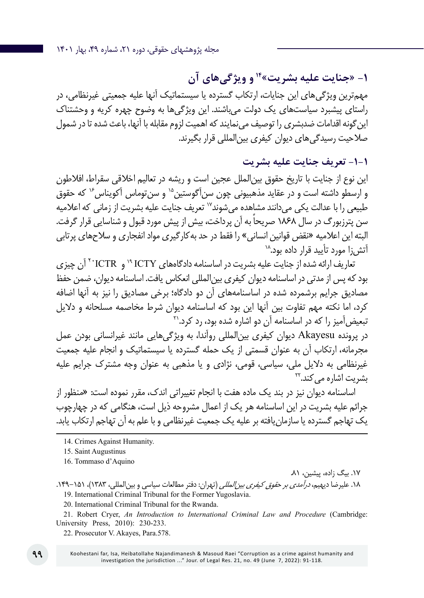**-1 »جنایت علیه بشریت«14 و ویژگیهای آن** مهمترین ویژگیهای این جنایات، ارتکاب گسترده یا سیستماتیک آنها علیه جمعیتی غیرنظامی، در راستای پیشبرد سیاستهای یک دولت میباشند. این ویژگیها به وضوح چهره کریه و وحشتناک این گونه اقدامات ضدبشری را توصیف می نمایند که اهمیت لزوم مقابله با آنها، باعث شده تا در شمول صالحیت رسیدگیهای دیوان کیفری بینالمللی قرار بگیرند.

## **-1-1 تعریف جنایت علیه بشریت**

این نوع از جنایت با تاریخ حقوق بینالملل عجین است و ریشه در تعالیم اخالقی سقراط، افالطون و ارسطو داشته است و در عقاید مذهبیونی چون سن آگوستین<sup>۱۵</sup> و سن توماس آکویناس<sup>۱۶</sup> که حقوق طبیعی را با عدالت یکی می دانند مشاهده می شوند<sup>۱۷</sup> تعریف جنایت علیه بشریت از زمانی که اعلامیه سن پترزبورگ در سال 1868 ً صریحا به آن پرداخت، بیش از پیش مورد قبول و شناسایی قرار گرفت. البته این اعلامیه «نقض قوانین انسانی» را فقط در حد بهکارگیری مواد انفجاری و سلاحهای پرتابی<br>آتش ۱٫ مورد تأیید قرار داده بود.^`

تعاریف ارائه شده از جنایت علیه بشریت در اساسنامه دادگاههای ICTY 19 و ICTR<sup>20</sup> آن چیزی بود که پس از مدتی در اساسنامه دیوان کیفری بینالمللی انعکاس یافت. اساسنامه دیوان، ضمن حفظ مصادیق جرایم برشمرده شده در اساسنامههای آن دو دادگاه؛ برخی مصادیق را نیز به آنها اضافه کرد، اما نکته مهم تفاوت بین آنها این بود که اساسنامه دیوان شرط مخاصمه مسلحانه و دالیل تبعیض آمیز را که در اساسنامه آن دو اشاره شده بود، رد کرد.<sup>۲۱</sup>

در پرونده Akayesu دیوان کیفری بینالمللی روآندا، به ویژگیهایی مانند غیرانسانی بودن عمل مجرمانه، ارتکاب آن به عنوان قسمتی از یک حمله گسترده یا سیستماتیک و انجام علیه جمعیت غیرنظامی به دالیل ملی، سیاسی، قومی، نژادی و یا مذهبی به عنوان وجه مشترک جرایم علیه بشریت اشاره مے کند.<sup>۲۲</sup>

اساسنامه دیوان نیز در بند یک ماده هفت با انجام تغییراتی اندک، مقرر نموده است: »منظور از جرائم علیه بشریت در این اساسنامه هر یک از اعمال مشروحه ذیل است، هنگامی که در چهارچوب یک تهاجم گسترده یا سازمانیافته بر علیه یک جمعیت غیرنظامی و با علم به آن تهاجم ارتکاب یابد.

16. Tommaso d'Aquino

۱۷. بیگ زاده، پیشین، ۸۱.

۱۸. علیرضا دیهیم، *درآمدی بر حقوق کیفری بین المللی* (تهران: دفتر مطالعات سیاسی و بین|لمللی، ۱۳۸۳)، ۱۵۱–۱۴۹. 19. International Criminal Tribunal for the Former Yugoslavia.

20. International Criminal Tribunal for the Rwanda.

21. Robert Cryer, *An Introduction to International Criminal Law and Procedure* (Cambridge: University Press, 2010): 230-233.

22. Prosecutor V. Akayes, Para.578.

<sup>14.</sup> Crimes Against Humanity.

<sup>15.</sup> Saint Augustinus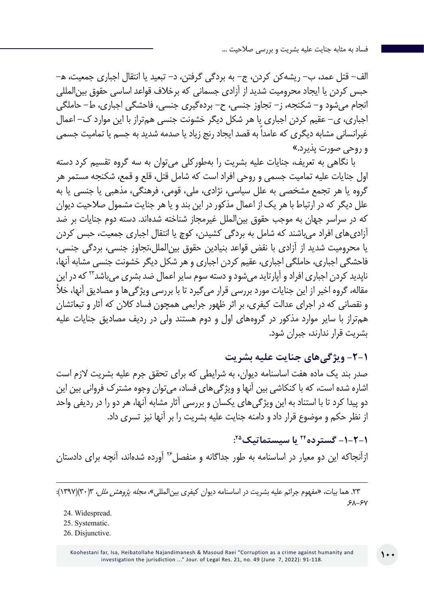الف- قتل عمد، ب- ریشهکن کردن، ج- به بردگی گرفتن، د- تبعید یا انتقال اجباری جمعیت، ه- حبس کردن یا ایجاد محرومیت شدید از آزادی جسمانی که برخالف قواعد اساسی حقوق بینالمللی انجام میشود و- شکنجه، ز- تجاوز جنسی، ح- بردهگیری جنسی، فاحشگی اجباری، ط- حاملگی اجباری، ی- عقیم کردن اجباری یا هر شکل دیگر خشونت جنسی همتراز با این موارد ک- اعمال غیرانسانی مشابه دیگری که عامداً به قصد ایجاد رنج زیاد یا صدمه شدید به جسم یا تمامیت جسمی و روحی صورت پذیرد.«

با نگاهی به تعریف، جنایات علیه بشریت را بهطورکلی میتوان به سه گروه تقسیم کرد دسته اول جنایات علیه تمامیت جسمی و روحی افراد است که شامل قتل، قلع و قمع، شکنجه مستمر هر گروه یا هر تجمع مشخصی به علل سیاسی، نژادی، ملی، قومی، فرهنگی، مذهبی یا جنسی یا به علل دیگر که در ارتباط با هر یک از اعمال مذکور در این بند و یا هر جنایت مشمول صالحیت دیوان که در سراسر جهان به موجب حقوق بینالملل غیرمجاز شناخته شدهاند. دسته دوم جنایات بر ضد آزادیهای افراد میباشند که شامل به بردگی کشیدن، کوچ یا انتقال اجباری جمعیت، حبس کردن یا محرومیت شدید از آزادی با نقض قواعد بنیادین حقوق بینالملل،تجاوز جنسی، بردگی جنسی، فاحشگی اجباری، حاملگی اجباری، عقیم کردن اجباری و هر شکل دیگر خشونت جنسی مشابه آنها، ناپدید کردن اجباری افراد و آپارتاید می شود و دسته سوم سایر اعمال ضد بشری می باشد<sup>۲۳</sup> که در این مقاله، گروه اخیر از این جنایات مورد بررسی قرار میگیرد تا با بررسی ویژگیها و مصادیق آنها، خأل و نقصانی که در اجرای عدالت کیفری، بر اثر ظهور جرایمی همچون فساد کالن که آثار و تبعاتشان همتراز با سایر موارد مذکور در گروههای اول و دوم هستند ولی در ردیف مصادیق جنایات علیه بشریت قرار ندارند، جبران شود.

**-2-1 ویژگیهای جنایت علیه بشریت**

صدر بند یک ماده هفت اساسنامه دیوان، به شرایطی که برای تحقق جرم علیه بشریت الزم است اشاره شده است، که با کنکاشی بین آنها و ویژگیهای فساد، میتوان وجوه مشترک فروانی بین این دو پیدا کرد تا با استناد به این ویژگیهای یکسان و بررسی آثار مشابه آنها، هر دو را در ردیفی واحد از نظر حکم و موضوع قرار داد و دامنه جنایت علیه بشریت را بر آنها نیز تسری داد.

**: -1-2-1 گسترده24 یا سیستماتیک25** ازآنجاکه این دو معیار در اساسنامه به طور جداگانه و منفصل26 آورده شدهاند، آنچه برای دادستان

.23 هما بیات، »مفهوم جرائم علیه بشریت در اساسنامه دیوان کیفری بینالمللی«، مجله پژوهش ملل، 3)30()1397(:  $5A-5Y$ 

<sup>24.</sup> Widespread.

<sup>25.</sup> Systematic.

<sup>26.</sup> Disjunctive.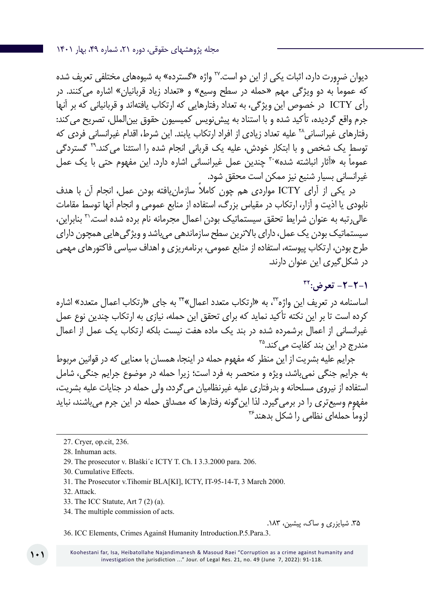دیوان ضرورت دارد، اثبات یکی از این دو است.<sup>۲۷</sup> واژه «گسترده» به شیوههای مختلفی تعریف شده ً که عموما به دو ویژگی مهم »حمله در سطح وسیع« و »تعداد زیاد قربانیان« اشاره میکنند. در رأی ICTY در خصوص این ویژگی، به تعداد رفتارهایی که ارتکاب یافتهاند و قربانیانی که بر آنها جرم واقع گردیده، تأکید شده و با استناد به پیش نویس کمیسیون حقوق بین|لملل، تصریح می کند: رفتارهای غیرانسانی28 علیه تعداد زیادی از افراد ارتکاب یابند. این شرط، اقدام غیرانسانی فردی که توسط یک شخص و با ابتکار خودش، علیه یک قربانی انجام شده را استثنا می کند.<sup>۲۹</sup> گستردگی عموماً به «آثار انباشته شده»<sup>۳۰</sup> چندین عمل غیرانسانی اشاره دارد. این مفهوم حتی با یک عمل غیرانسانی بسیار شنیع نیز ممکن است محقق شود.

در یکی از آرای ICTY ً مواردی هم چون کامال سازمانیافته بودن عمل، انجام آن با هدف نابودی یا اذیت و آزار، ارتکاب در مقیاس بزرگ، استفاده از منابع عمومی و انجام آنها توسط مقامات عالیرتبه به عنوان شرایط تحقق سیستماتیک بودن اعمال مجرمانه نام برده شده است31. بنابراین، سیستماتیک بودن یک عمل، دارای باالترین سطح سازماندهی میباشد و ویژگیهایی همچون دارای طرح بودن، ارتکاب پیوسته، استفاده از منابع عمومی، برنامهریزی و اهداف سیاسی فاکتورهای مهمی در شکلگیری این عنوان دارند.

**1-2-2- تعرض: IT** اساسنامه در تعریف این واژه،33 به »ارتکاب متعدد اعمال«34 به جای »ارتکاب اعمال متعدد« اشاره کرده است تا بر این نکته تأکید نماید که برای تحقق این حمله، نیازی به ارتکاب چندین نوع عمل غیرانسانی از اعمال برشمرده شده در بند یک ماده هفت نیست بلکه ارتکاب یک عمل از اعمال مندرج در این بند کفایت می کند.<sup>۳۵</sup>

جرایم علیه بشریت از این منظر که مفهوم حمله در اینجا، همسان با معنایی که در قوانین مربوط به جرایم جنگی نمیباشد، ویژه و منحصر به فرد است؛ زیرا حمله در موضوع جرایم جنگی، شامل استفاده از نیروی مسلحانه و بدرفتاری علیه غیرنظامیان میگردد، ولی حمله در جنایات علیه بشریت، مفهوم وسیعتری را در برمیگیرد. لذا اینگونه رفتارها که مصداق حمله در این جرم میباشند، نباید لزوما حملهای نظامی را شکل بدهند<sup>۳۶</sup>

- 29. The prosecutor v. Blaški´c ICTY T. Ch. I 3.3.2000 para. 206.
- 30. Cumulative Effects.
- 31. The Prosecutor v.Tihomir BLA[KI], ICTY, IT-95-14-T, 3 March 2000.
- 32. Attack.
- 33. The ICC Statute, Art 7 (2) (a).
- 34. The multiple commission of acts.

.35 شیایزری و ساک، پیشین، .183

36. ICC Elements, Crimes Against Humanity Introduction.P.5.Para.3.

Koohestani far, Isa, Heibatollahe Najandimanesh & Masoud Raei "Corruption as a crime against humanity and investigation the jurisdiction ..." Jour. of Legal Res. 21, no. 49 (June 7, 2022): 91-118.

<sup>27</sup>. Cryer, op.cit, 236.

<sup>28.</sup> Inhuman acts.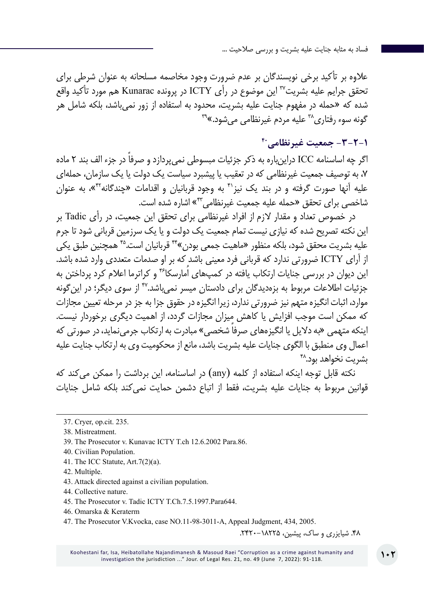عالوه بر تأکید برخی نویسندگان بر عدم ضرورت وجود مخاصمه مسلحانه به عنوان شرطی برای تحقق جرایم علیه بشریت37 این موضوع در رأی ICTY در پرونده Kunarac هم مورد تأکید واقع شده که »حمله در مفهوم جنایت علیه بشریت، محدود به استفاده از زور نمیباشد، بلکه شامل هر گونه سوء رفتاری<sup>۳۹</sup> علیه مردم غیرنظام*ی* می شود.»۳۹

## **-3-2-1 جمعیت غیرنظامی40**

اگر چه اساسنامه ICC دراینباره به ذکر جزئیات مبسوطی نمی ً پردازد و صرفا در جزء الف بند 2 ماده ،7 به توصیف جمعیت غیرنظامی که در تعقیب یا پیشبرد سیاست یک دولت یا یک سازمان، حملهای علیه آنها صورت گرفته و در بند یک نیز<sup>۴۱</sup> به وجود قربانیان و اقدامات «چندگانه<sup>۴۲</sup>»، به عنوان شاخصی برای تحقق »حمله علیه جمعیت غیرنظامی43« اشاره شده است.

در خصوص تعداد و مقدار الزم از افراد غیرنظامی برای تحقق این جمعیت، در رأی Tadic بر این نکته تصریح شده که نیازی نیست تمام جمعیت یک دولت و یا یک سرزمین قربانی شود تا جرم علیه بشریت محقق شود، بلکه منظور »ماهیت جمعی بودن«44 قربانیان است45. همچنین طبق یکی از آرای ICTY ضرورتی ندارد که قربانی فرد معینی باشد که بر او صدمات متعددی وارد شده باشد. این دیوان در بررسی جنایات ارتکاب یافته در کمپهای اُمارسکا46 و کراترما اعالم کرد پرداختن به جزئیات اطالعات مربوط به بزهدیدگان برای دادستان میسر نمیباشد47. از سوی دیگر؛ در اینگونه موارد، اثبات انگیزه متهم نیز ضرورتی ندارد، زیرا انگیزه در حقوق جزا به جز در مرحله تعیین مجازات که ممکن است موجب افزایش یا کاهش میزان مجازات گردد، از اهمیت دیگری برخوردار نیست. اینکه متهمی «به دلایل یا انگیزههای صرفاً شخصی» مبادرت به ارتکاب جرمی نماید، در صورتی که اعمال وی منطبق با الگوی جنایات علیه بشریت باشد، مانع از محکومیت وی به ارتکاب جنایت علیه بشریت نخواهد بود.<sup>۴۸</sup>

نکته قابل توجه اینکه استفاده از کلمه )any )در اساسنامه، این برداشت را ممکن میکند که قوانین مربوط به جنایات علیه بشریت، فقط از اتباع دشمن حمایت نمیکند بلکه شامل جنایات

- 41. The ICC Statute, Art.7(2)(a).
- 42. Multiple.
- 43. Attack directed against a civilian population.
- 44. Collective nature.
- 45. The Prosecutor v. Tadic ICTY T.Ch.7.5.1997.Para644.
- 46. Omarska & Keraterm
- 47. The Prosecutor V.Kvocka, case NO.11-98-3011-A, Appeal Judgment, 434, 2005.

.48 شیایزری و ساک، پیشین، .2420-18225

<sup>37</sup>. Cryer, op.cit. 235.

<sup>38.</sup> Mistreatment.

<sup>39.</sup> The Prosecutor v. Kunavac ICTY T.ch 12.6.2002 Para.86.

<sup>40.</sup> Civilian Population.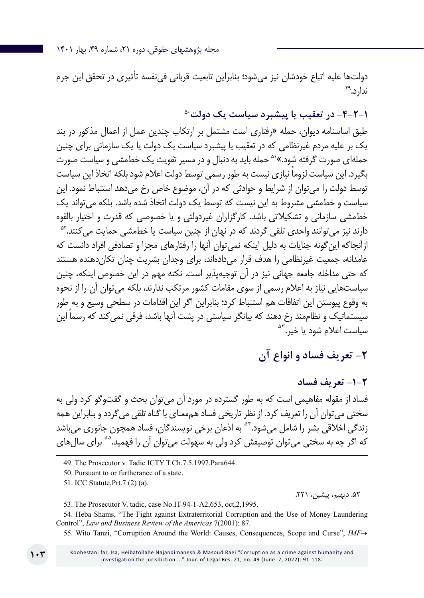مجله پژوهشهای حقوقی، دوره ،21 شماره ،49 بهار 1401

دولتها علیه اتباع خودشان نیز میشود؛ بنابراین تابعیت قربانی فینفسه تأثیری در تحقق این جرم ندارد. ۴۹

**-4-2-1 در تعقیب یا پیشبرد سیاست یک دولت50**

طبق اساسنامه دیوان، حمله »رفتاری است مشتمل بر ارتکاب چندین عمل از اعمال مذکور در بند یک بر علیه مردم غیرنظامی که در تعقیب یا پیشبرد سیاست یک دولت یا یک سازمانی برای چنین حملهای صورت گرفته شود.«51 حمله باید به دنبال و در مسیر تقویت یک خطمشی و سیاست صورت ً بگیرد. این سیاست لزوما نیازی نیست به طور رسمی توسط دولت اعالم شود بلکه اتخاذ این سیاست توسط دولت را میتوان از شرایط و حوادثی که در آن، موضوع خاص رخ میدهد استنباط نمود. این سیاست و خطمشی مشروط به این نیست که توسط یک دولت اتخاذ شده باشد. بلکه میتواند یک خطمشی سازمانی و تشکیالتی باشد. کارگزاران غیردولتی و یا خصوصی که قدرت و اختیار بالقوه دارند نیز می توانند واحدی تلقی گردند که در نهان از چنین سیاست یا خطمشی حمایت می کنند.<sup>۵۲</sup> ازآنجاکه اینگونه جنایات به دلیل اینکه نمیتوان آنها را رفتارهای مجزا و تصادفی افراد دانست که عامدانه، جمعیت غیرنظامی را هدف قرار می دادهاند، برای وجدان بشریت چنان تکان دهنده هستند که حتی مداخله جامعه جهانی نیز در آن توجیهپذیر است. نکته مهم در این خصوص اینکه، چنین سیاستهایی نیاز به اعالم رسمی از سوی مقامات کشور مرتکب ندارند، بلکه میتوان آن را از نحوه به وقوع پیوستن این اتفاقات هم استنباط کرد؛ بنابراین اگر این اقدامات در سطحی وسیع و به طور سیستماتیک و نظاممند رخ دهند که بیانگر سیاستی در پشت آنها باشد، فرقی نمی ً کند که رسما این سیاست اعلام شود یا خیر.<sup>۵۳</sup>

## **-2 تعریف فساد و انواع آن**

#### **-1-2 تعریف فساد**

فساد از مقوله مفاهیمی است که به طور گسترده در مورد آن میتوان بحث و گفتوگو کرد ولی به سختی میتوان آن را تعریف کرد. از نظر تاریخی فساد هممعنای با گناه تلقی میگردد و بنابراین همه زندگی اخلاقی بشر را شامل می شود.<sup>۵۴</sup> به اذعان برخی نویسندگان، فساد همچون جانوری می باشد که اگر چه به سختی می توان توصیفش کرد ولی به سهولت می توان آن را فهمید.<sup>۵۵</sup> برای سال های

49. The Prosecutor v. Tadic ICTY T.Ch.7.5.1997.Para644.

50. Pursuant to or furtherance of a state.

51. ICC Statute,Prt.7 (2) (a).

.52 دیهیم، پیشین، .221

53. The Prosecutor V. tadic, case No.IT-94-1-A2,653, oct,2,1995.

54. Heba Shams, "The Fight against Extraterritorial Corruption and the Use of Money Laundering Control", *Law and Business Review of the Americas* 7(2001): 87.

55. Wito Tanzi, "Corruption Around the World: Causes, Consequences, Scope and Curse", *IMF*→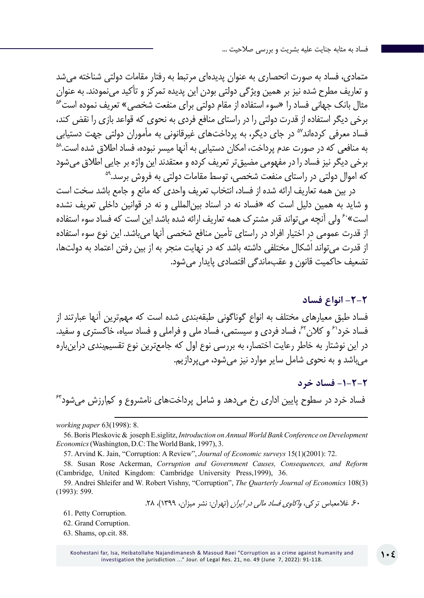متمادی، فساد به صورت انحصاری به عنوان پدیدهای مرتبط به رفتار مقامات دولتی شناخته میشد و تعاریف مطرح شده نیز بر همین ویژگی دولتی بودن این پدیده تمرکز و تأکید مینمودند. به عنوان<br>مثال بانک جهانی فساد را «سوء استفاده از مقام دولتی برای منفعت شخصی» تعریف نموده است<sup>6</sup> برخی دیگر استفاده از قدرت دولتی را در راستای منافع فردی به نحوی که قواعد بازی را نقض کند، فساد معرفی کردهاند<sup>۷</sup>° در جای دیگر، به پرداختهای غیرقانونی به مأموران دولتی جهت دستیابی<br>به منافعی که در صورت عدم پرداخت، امکان دستیابی به آنها میسر نبوده، فساد اطلاق شده است.<sup>۵۸</sup> برخی دیگر نیز فساد را در مفهومی مضیق *ت*ر تعریف کرده و معتقدند این واژه بر جایی اطلاق میشود<br>که اموال دولتی در راستای منفعت شخصی، توسط مقامات دولتی به فروش برسد.<sup>۵۹</sup>

در بین همه تعاریف ارائه شده از فساد، انتخاب تعریف واحدی که مانع و جامع باشد سخت است و شاید به همین دلیل است که »فساد نه در اسناد بینالمللی و نه در قوانین داخلی تعریف نشده است»<sup>۶</sup>۰ ولی آنچه می تواند قدر مشترک همه تعاریف ارائه شده باشد این است که فساد سوء استفاده از قدرت عمومی در اختیار افراد در راستای تأمین منافع شخصی آنها میباشد. این نوع سوء استفاده از قدرت میتواند اَشکال مختلفی داشته باشد که در نهایت منجر به از بین رفتن اعتماد به دولتها، تضعیف حاکمیت قانون و عقبماندگی اقتصادی پایدار میشود.

**-2-2 انواع فساد** فساد طبق معیارهای مختلف به انواع گوناگونی طبقهبندی شده است که مهمترین آنها عبارتند از فساد خرد<sup>۶</sup> و کلان<sup>۶۲</sup>، فساد فردی و سیستمی، فساد ملی و فراملی و فساد سیاه، خاکستری و سفید. در این نوشتار به خاطر رعایت اختصار، به بررسی نوع اول که جامعترین نوع تقسیمبندی دراینباره میباشد و به نحوی شامل سایر موارد نیز میشود، میپردازیم.

**-1-2-2 فساد خرد** فساد خرد در سطوح پایین اداری رخ میدهد و شامل پرداختهای نامشروع و کمارزش میشود63

*working paper* 63(1998): 8.

56. Boris Pleskovic & joseph E.siglitz, *Introduction on Annual World Bank Conference on Development Economics* (Washington, D.C: The World Bank, 1997), 3.

57. Arvind K. Jain, "Corruption: A Review", *Journal of Economic surveys* 15(1)(2001): 72.

58. Susan Rose Ackerman, *Corruption and Government Causes, Consequences, and Reform* (Cambridge, United Kingdom: Cambridge University Press,1999), 36.

59. Andrei Shleifer and W. Robert Vishny, "Corruption", *The Quarterly Journal of Economics* 108(3) (1993): 599.

۶۰ غلامعباس ترکی، *واکاوی فساد مالی در ایران* (تهران: نشر میزان، ۱۳۹۹)، ۲۸.

61. Petty Corruption.

62. Grand Corruption.

63. Shams, op.cit. 88.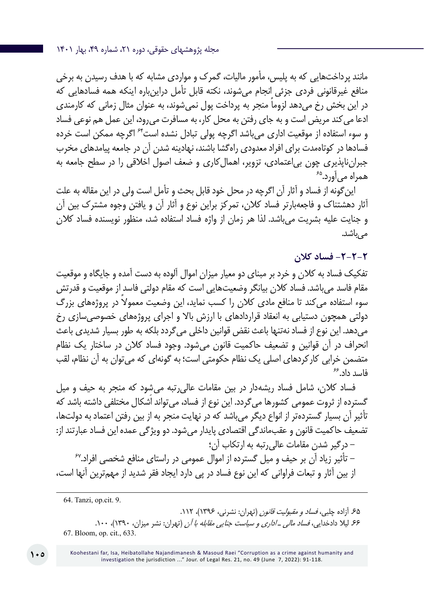مانند پرداختهایی که به پلیس، مأمور مالیات، گمرک و مواردی مشابه که با هدف رسیدن به برخی منافع غیرقانونی فردی جزئی انجام میشوند، نکته قابل تأمل دراینباره اینکه همه فسادهایی که در این بخش رخ می دهد لزوما منجر به پرداخت پول نمی شوند، به عنوان مثال زمانی که کارمندی ادعا میکند مریض است و به جای رفتن به محل کار، به مسافرت میرود، این عمل هم نوعی فساد و سوء استفاده از موقعیت اداری میباشد اگرچه پولی تبادل نشده است64 اگرچه ممکن است خرده فسادها در کوتاهمدت برای افراد معدودی راهگشا باشند، نهادینه شدن آن در جامعه پیامدهای مخرب جبرانناپذیری چون بی|عتمادی، تزویر، اهمالکاری و ضعف اصول اخلاقی را در سطح جامعه به<br>همراه می آورد.<sup>هء</sup>

اینگونه از فساد و آثار آن اگرچه در محل خود قابل بحث و تأمل است ولی در این مقاله به علت آثار دهشتناک و فاجعهبارتر فساد کالن، تمرکز براین نوع و آثار آن و یافتن وجوه مشترک بین آن و جنایت علیه بشریت میباشد. لذا هر زمان از واژه فساد استفاده شد، منظور نویسنده فساد کالن مے باشد.

**-2-2-2 فساد کالن**

تفکیک فساد به کالن و خرد بر مبنای دو معیار میزان اموال آلوده به دست آمده و جایگاه و موقعیت مقام فاسد میباشد. فساد کالن بیانگر وضعیتهایی است که مقام دولتی فاسد از موقعیت و قدرتش سوء استفاده می ً کند تا منافع مادی کالن را کسب نماید، این وضعیت معموال در پروژههای بزرگ دولتی همچون دستیابی به انعقاد قراردادهای با ارزش باال و اجرای پروژههای خصوصیسازی رخ میدهد. این نوع از فساد نهتنها باعث نقض قوانین داخلی میگردد بلکه به طور بسیار شدیدی باعث انحراف در آن قوانین و تضعیف حاکمیت قانون میشود. وجود فساد کالن در ساختار یک نظام متضمن خرابی کارکردهای اصلی یک نظام حکومتی است؛ به گونهای که میتوان به آن نظام، لقب<br>فاسد داد.<sup>۶۶</sup>

فساد کالن، شامل فساد ریشهدار در بین مقامات عالیرتبه میشود که منجر به حیف و میل گسترده از ثروت عمومی کشورها میگردد. این نوع از فساد، میتواند اَشکال مختلفی داشته باشد که تأثیر آن بسیار گستردهتر از انواع دیگر میباشد که در نهایت منجر به از بین رفتن اعتماد به دولتها، تضعیف حاکمیت قانون و عقبماندگی اقتصادی پایدار میشود. دو ویژگی عمده این فساد عبارتند از:

– درگیر شدن مقامات عالی٫تبه به ارتکاب آن؛<br>– تأثیر زیاد آن بر حیف و میل گسترده از اموال عمومی در راستای منافع شخصی افراد.<sup>۶۷</sup> از بین آثار و تبعات فراوانی که این نوع فساد در پی دارد ایجاد فقر شدید از مهمترین آنها است،

64. Tanzi, op.cit. 9.

۶۵ آزاده چلبی، *فساد و مقبولیت قانون* (تهران: نشرنی، ۱۳۹۶)، ۱۱۲. .66 لیال دادخدایی، فساد مالی ـ اداری و سیاست جنایی مقابله با آن )تهران: نشر میزان، 1390(، .100 67. Bloom, op. cit., 633.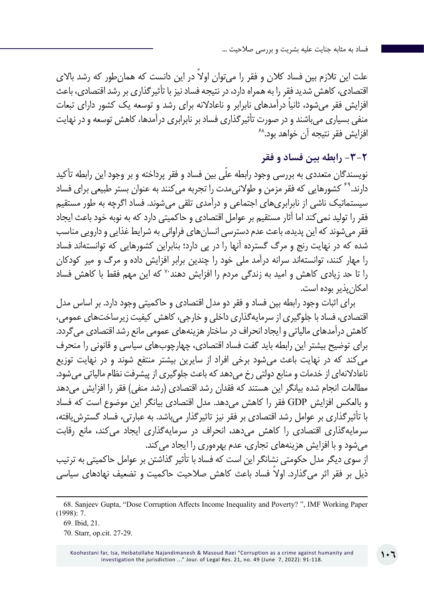علت این تلازم بین فساد کلان و فقر را می توان اولاً در این دانست که همان طور که رشد بالای اقتصادی، کاهش شدید فقر را به همراه دارد، در نتیجه فساد نیز با تأثیرگذاری بر رشد اقتصادی، باعث افزایش فقر می شود، ثانیا درآمدهای نابرابر و ناعادلانه برای رشد و توسعه یک کشور دارای تبعات منفی بسیاری میباشند و در صورت تأثیرگذاری فساد بر نابرابری درآمدها، کاهش توسعه و در نهایت<br>افزایش فقر نتیجه آن خواهد بود.<sup>۶۸</sup>

**-3-2 رابطه بین فساد و فقر**

نویسندگان متعددی به بررسی وجود رابطه علّی بین فساد و فقر پرداخته و بر وجود این رابطه تأکید دارند.<sup>۴۹</sup> کشورهایی که فقر مزمن و طولانی مدت را تجربه می کنند به عنوان بستر طبیعی برای فساد سیستماتیک ناشی از نابرابریهای اجتماعی و درآمدی تلقی میشوند. فساد اگرچه به طور مستقیم فقر را تولید نمیکند اما آثار مستقیم بر عوامل اقتصادی و حاکمیتی دارد که به نوبه خود باعث ایجاد فقر میشوند که این پدیده، باعث عدم دسترسی انسانهای فراوانی به شرایط غذایی و دارویی مناسب شده که در نهایت رنج و مرگ گسترده آنها را در پی دارد؛ بنابراین کشورهایی که توانستهاند فساد را مهار کنند، توانستهاند سرانه درآمد ملی خود را چندین برابر افزایش داده و مرگ و میر کودکان را تا حد زیادی کاهش و امید به زندگی مردم را افزایش دهند70 که این مهم فقط با کاهش فساد امکانپذیر بوده است.

برای اثبات وجود رابطه بین فساد و فقر دو مدل اقتصادی و حاکمیتی وجود دارد. بر اساس مدل اقتصادی، فساد با جلوگیری از سرمایهگذاری داخلی و خارجی، کاهش کیفیت زیرساختهای عمومی، کاهش درآمدهای مالیاتی و ایجاد انحراف در ساختار هزینههای عمومی مانع رشد اقتصادی میگردد. برای توضیح بیشتر این رابطه باید گفت فساد اقتصادی، چهارچوبهای سیاسی و قانونی را منحرف میکند که در نهایت باعث میشود برخی افراد از سایرین بیشتر منتفع شوند و در نهایت توزیع ناعادلانهای از خدمات و منابع دولتی رخ می دهد که باعث جلوگیری از پیشرفت نظام مالیاتی می شود. مطالعات انجام شده بیانگر این هستند که فقدان رشد اقتصادی )رشد منفی( فقر را افزایش میدهد و بالعکس افزایش GDP فقر را کاهش میدهد. مدل اقتصادی بیانگر این موضوع است که فساد با تأثیرگذاری بر عوامل رشد اقتصادی بر فقر نیز تاثیرگذار میباشد. به عبارتی، فساد گسترشیافته، سرمایهگذاری اقتصادی را کاهش میدهد، انحراف در سرمایهگذاری ایجاد میکند، مانع رقابت میشود و با افزایش هزینههای تجاری، عدم بهرهوری را ایجاد میکند. از سوی دیگر مدل حکومتی نشانگر این است که فساد با تأثیر گذاشتن بر عوامل حاکمیتی به ترتیب ذیل بر فقر اثر می ً گذارد. اوال فساد باعث کاهش صالحیت حاکمیت و تضعیف نهادهای سیاسی

<sup>68</sup>. Sanjeev Gupta, "Dose Corruption Affects Income Inequality and Poverty? ", IMF Working Paper (1998): 7.

<sup>69.</sup> Ibid, 21.

<sup>70.</sup> Starr, op.cit. 27-29.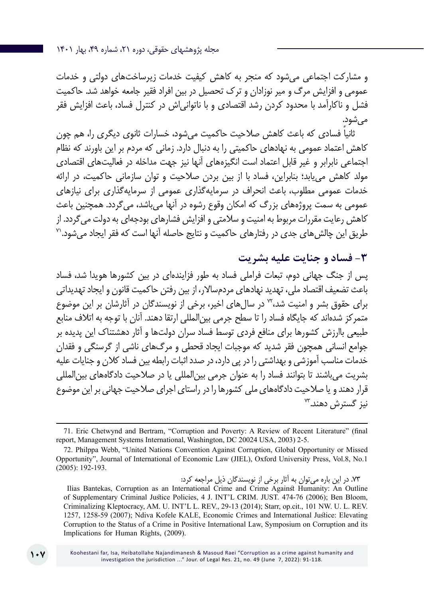و مشارکت اجتماعی میشود که منجر به کاهش کیفیت خدمات زیرساختهای دولتی و خدمات عمومی و افزایش مرگ و میر نوزادان و ترک تحصیل در بین افراد فقیر جامعه خواهد شد. حاکمیت فشل و ناکارآمد با محدود کردن رشد اقتصادی و با ناتوانیاش در کنترل فساد، باعث افزایش فقر می شود.

ً ثانیا فسادی که باعث کاهش صالحیت حاکمیت میشود، خسارات ثانوی دیگری را، هم چون کاهش اعتماد عمومی به نهادهای حاکمیتی را به دنبال دارد. زمانی که مردم بر این باورند که نظام اجتماعی نابرابر و غیر قابل اعتماد است انگیزههای آنها نیز جهت مداخله در فعالیتهای اقتصادی مولد کاهش مییابد؛ بنابراین، فساد با از بین بردن صالحیت و توان سازمانی حاکمیت، در ارائه خدمات عمومی مطلوب، باعث انحراف در سرمایهگذاری عمومی از سرمایهگذاری برای نیازهای عمومی به سمت پروژههای بزرگ که امکان وقوع رشوه در آنها میباشد، میگردد. همچنین باعث کاهش رعایت مقررات مربوط به امنیت و سلامتی و افزایش فشارهای بودجهای به دولت میگردد. از<br>طریق این چالش های جدی در رفتارهای حاکمیت و نتایج حاصله آنها است که فقر ایجاد می شود.''

## **-3 فساد و جنایت علیه بشریت**

پس از جنگ جهانی دوم، تبعات فراملی فساد به طور فزایندهای در بین کشورها هویدا شد، فساد باعث تضعیف اقتصاد ملی، تهدید نهادهای مردمساالر، از بین رفتن حاکمیت قانون و ایجاد تهدیداتی برای حقوق بشر و امنیت شد72، در سالهای اخیر، برخی از نویسندگان در آثارشان بر این موضوع متمرکز شدهاند که جایگاه فساد را تا سطح جرمی بینالمللی ارتقا دهند. آنان با توجه به اتالف منابع طبیعی باارزش کشورها برای منافع فردی توسط فساد سران دولتها و آثار دهشتناک این پدیده بر جوامع انسانی همچون فقر شدید که موجبات ایجاد قحطی و مرگهای ناشی از گرسنگی و فقدان خدمات مناسب آموزشی و بهداشتی را در پی دارد، در صدد اثبات رابطه بین فساد کالن و جنایات علیه بشریت میباشند تا بتوانند فساد را به عنوان جرمی بینالمللی یا در صالحیت دادگاههای بینالمللی قرار دهند و یا صالحیت دادگاههای ملی کشورها را در راستای اجرای صالحیت جهانی بر این موضوع نیز گسترش دهند.<sup>77</sup>

.73 در این باره میتوان به آثار برخی از نویسندگان ذیل مراجعه کرد:

**107**

<sup>71.</sup> Eric Chetwynd and Bertram, "Corruption and Poverty: A Review of Recent Literature" (final report, Management Systems International, Washington, DC 20024 USA, 2003) 2-5.

<sup>72.</sup> Philppa Webb, "United Nations Convention Against Corruption, Global Opportunity or Missed Opportunity", Journal of International of Economic Law (JIEL), Oxford University Press, Vol.8, No.1 (2005): 192-193.

Ilias Bantekas, Corruption as an International Crime and Crime Against Humanity: An Outline of Supplementary Criminal Justice Policies, 4 J. INT'L CRIM. JUST. 474-76 (2006); Ben Bloom, Criminalizing Kleptocracy, AM. U. INT'L L. REV., 29-13 (2014); Starr, op.cit., 101 NW. U. L. REV. 1257, 1258-59 (2007); Ndiva Kofele KALE, Economic Crimes and International Justice: Elevating Corruption to the Status of a Crime in Positive International Law, Symposium on Corruption and its Implications for Human Rights, (2009).

Koohestani far, Isa, Heibatollahe Najandimanesh & Masoud Raei "Corruption as a crime against humanity and investigation the jurisdiction ..." Jour. of Legal Res. 21, no. 49 (June 7, 2022): 91-118.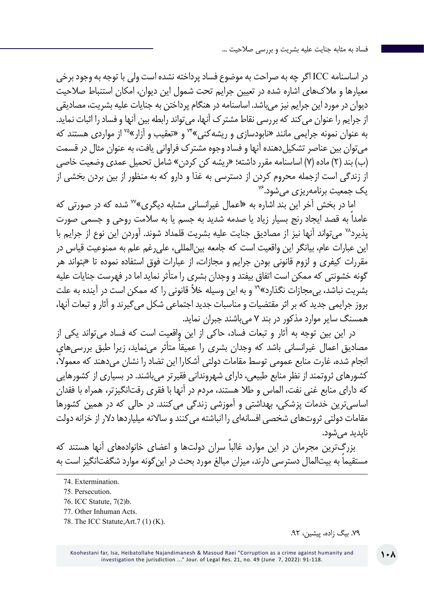در اساسنامه ICC اگر چه به صراحت به موضوع فساد پرداخته نشده است ولی با توجه به وجود برخی معیارها و مالکهای اشاره شده در تعیین جرایم تحت شمول این دیوان، امکان استنباط صالحیت دیوان در مورد این جرایم نیز میباشد. اساسنامه در هنگام پرداختن به جنایات علیه بشریت، مصادیقی از جرایم را عنوان میکند که بررسی نقاط مشترک آنها، میتواند رابطه بین آنها و فساد را اثبات نماید. به عنوان نمونه جرایمی مانند »نابودسازی و ریشهکنی«74 و »تعقیب و آزار«75 از مواردی هستند که میتوان بین عناصر تشکیلدهنده آنها و فساد وجوه مشترک فراوانی یافت، به عنوان مثال در قسمت (ب) بند (۲) ماده (۷) اساسنامه مقرر داشته؛ «ریشه کن کردن» شامل تحمیل عمدی وضعیت خاصی از زندگی است ازجمله محروم کردن از دسترسی به غذا و دارو که به منظور از بین بردن بخشی از<br>یک جمعیت برنامهریزی می شود.<sup>۷۶</sup>

اما در بخش آخر این بند اشاره به «اعمال غیرانسانی مشابه دیگری»<sup>77</sup> شده که در صورتی که عامداً به قصد ایجاد رنج بسیار زیاد یا صدمه شدید به جسم یا به سالمت روحی و جسمی صورت پذیرد78 میتواند آنها نیز از مصادیق جنایت علیه بشریت قلمداد شوند. آوردن این نوع از جرایم با این عبارات عام، بیانگر این واقعیت است که جامعه بینالمللی، علیرغم علم به ممنوعیت قیاس در مقررات کیفری و لزوم قانونی بودن جرایم و مجازات، از عبارات فوق استفاده نموده تا »بتواند هر گونه خشونتی که ممکن است اتفاق بیفتد و وجدان بشری را متأثر نماید اما در فهرست جنایات علیه بشریت نباشد، بی مجازات نگذارد»<sup>۷۹</sup> و به این وسیله خلأ قانونی را که ممکن است در آینده به علت بروز جرایمی جدید که بر اثر مقتضیات و مناسبات جدید اجتماعی شکل میگیرند و آثار و تبعات آنها، همسنگ سایر موارد مذکور در بند 7 میباشند جبران نماید.

در این بین توجه به آثار و تبعات فساد، حاکی از این واقعیت است که فساد میتواند یکی از مصادیق اعمال غیرانسانی باشد که وجدان بشری را عمیقاً متأثر مینماید، زیرا طبق بررسی های انجام شده، غارت منابع عمومی توسط مقامات دولتی آشکارا این تضاد را نشان می ً دهند که معموال، کشورهای ثروتمند از نظر منابع طبیعی، دارای شهروندانی فقیرتر میباشند. در بسیاری از کشورهایی که دارای منابع غنی نفت، الماس و طال هستند، مردم در آنها با فقری رقتانگیزتر، همراه با فقدان اساسیترین خدمات پزشکی، بهداشتی و آموزشی زندگی میکنند. در حالی که در همین کشورها مقامات دولتی ثروتهای شخصی افسانهای را انباشته میکنند و ساالنه میلیاردها دالر از خزانه دولت ناپدید میشود.

بزرگ ً ترین مجرمان در این موارد، غالبا سران دولتها و اعضای خانوادههای آنها هستند که مستقیما به بیتالمال دسترسی دارند، میزان مبالغ مورد بحث در این گونه موارد شگفتانگیز است به

78. The ICC Statute,Art.7 (1) (K).

.79 بیگ زاده، پیشین، .92

Koohestani far, Isa, Heibatollahe Najandimanesh & Masoud Raei "Corruption as a crime against humanity and investigation the jurisdiction ..." Jour. of Legal Res. 21, no. 49 (June 7, 2022): 91-118.

<sup>74.</sup> Extermination.

<sup>75</sup>. Persecution.

<sup>76</sup>. ICC Statute, 7(2)b.

<sup>77</sup>. Other Inhuman Acts.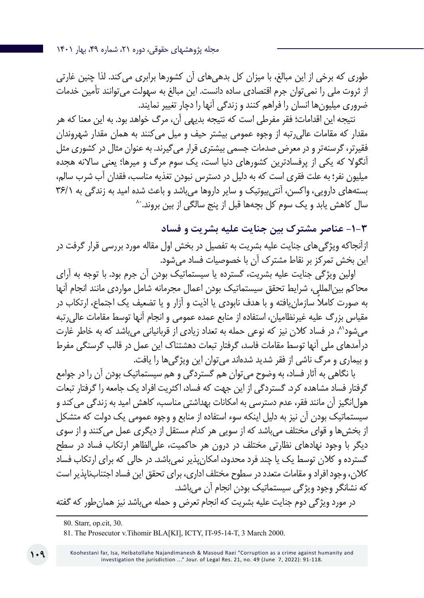مجله پژوهشهای حقوقی، دوره ،21 شماره ،49 بهار 1401

طوری که برخی از این مبالغ، با میزان کل بدهیهای آن کشورها برابری میکند. لذا چنین غارتی از ثروت ملی را نمیتوان جرم اقتصادی ساده دانست. این مبالغ به سهولت میتوانند تأمین خدمات ضروری میلیونها انسان را فراهم کنند و زندگی آنها را دچار تغییر نمایند.

نتیجه این اقدامات؛ فقر مفرطی است که نتیجه بدیهی آن، مرگ خواهد بود. به این معنا که هر مقدار که مقامات عالیرتبه از وجوه عمومی بیشتر حیف و میل میکنند به همان مقدار شهروندان فقیرتر، گرسنهتر و در معرض صدمات جسمی بیشتری قرار میگیرند. به عنوان مثال در کشوری مثل آنگوال که یکی از پرفسادترین کشورهای دنیا است، یک سوم مرگ و میرها؛ یعنی ساالنه هجده میلیون نفر؛ به علت فقری است که به دلیل در دسترس نبودن تغذیه مناسب، فقدان آب شرب سالم، بستههای دارویی، واکسن، آنتیبیوتیک و سایر داروها میباشد و باعث شده امید به زندگی به ۲۶/۱<br>سال کاهش یابد و یک سوم کل بچهها قبل از پنج سالگی از بین بروند.<sup>۸۰</sup>

**-1-3 عناصر مشترک بین جنایت علیه بشریت و فساد** ازآنجاکه ویژگیهای جنایت علیه بشریت به تفصیل در بخش اول مقاله مورد بررسی قرار گرفت در این بخش تمرکز بر نقاط مشترک آن با خصوصیات فساد میشود.

اولین ویژگی جنایت علیه بشریت، گسترده یا سیستماتیک بودن آن جرم بود. با توجه به آرای محاکم بینالمللی، شرایط تحقق سیستماتیک بودن اعمال مجرمانه شامل مواردی مانند انجام آنها ً به صورت کامال سازمانیافته و با هدف نابودی یا اذیت و آزار و یا تضعیف یک اجتماع، ارتکاب در مقیاس بزرگ علیه غیرنظامیان، استفاده از منابع عمده عمومی و انجام آنها توسط مقامات عالیرتبه می شود<sup>۸</sup>، در فساد کلان نیز که نوعی حمله به تعداد زیادی از قربانیانی می باشد که به خاطر غارت درآمدهای ملی آنها توسط مقامات فاسد، گرفتار تبعات دهشتناک این عمل در قالب گرسنگی مفرط و بیماری و مرگ ناشی از فقر شدید شدهاند میتوان این ویژگیها را یافت.

با نگاهی به آثار فساد، به وضوح میتوان هم گستردگی و هم سیستماتیک بودن آن را در جوامع گرفتار فساد مشاهده کرد. گستردگی از این جهت که فساد، اکثریت افراد یک جامعه را گرفتار تبعات هول انگیز آن مانند فقر، عدم دسترسی به امکانات بهداشتی مناسب، کاهش امید به زندگی می کند و سیستماتیک بودن آن نیز به دلیل اینکه سوء استفاده از منابع و وجوه عمومی یک دولت که متشکل از بخشها و قوای مختلف میباشد که از سویی هر کدام مستقل از دیگری عمل میکنند و از سوی دیگر با وجود نهادهای نظارتی مختلف در درون هر حاکمیت، علیالظاهر ارتکاب فساد در سطح گسترده و کالن توسط یک یا چند فرد محدود، امکانپذیر نمیباشد. در حالی که برای ارتکاب فساد کالن، وجود افراد و مقامات متعدد در سطوح مختلف اداری، برای تحقق این فساد اجتنابناپذیر است که نشانگر وجود ویژگی سیستماتیک بودن انجام آن میباشد.

در مورد ویژگی دوم جنایت علیه بشریت که انجام تعرض و حمله میباشد نیز همانطور که گفته

<sup>80.</sup> Starr, op.cit, 30.

<sup>81</sup>. The Prosecutor v.Tihomir BLA[KI], ICTY, IT-95-14-T, 3 March 2000.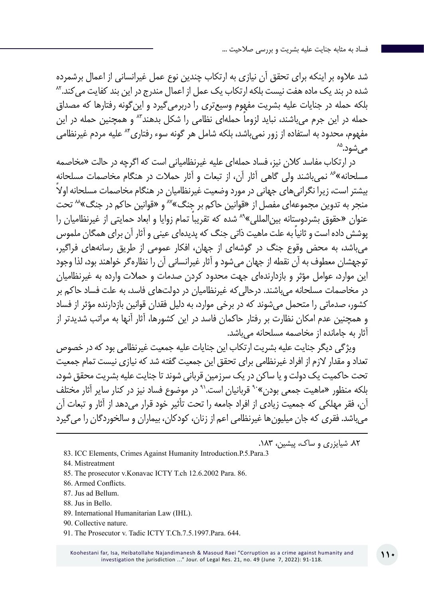شد عالوه بر اینکه برای تحقق آن نیازی به ارتکاب چندین نوع عمل غیرانسانی از اعمال برشمرده شده در بند یک ماده هفت نیست بلکه ارتکاب یک عمل از اعمال مندرج در این بند کفایت می کند.<sup>۸۲</sup> بلکه حمله در جنایات علیه بشریت مفهوم وسیعتری را دربرمیگیرد و اینگونه رفتارها که مصداق حمله در این جرم می باشند، نباید لزوما حملهای نظامی را شکل بدهند<sup>۸۳</sup> و همچنین حمله در این مفهوم، محدود به استفاده از زور نمیباشد، بلکه شامل هر گونه سوء رفتاری<sup>۸۴</sup> علیه مردم غیرنظامی<br>م<sub>ی</sub>شود.<sup>۸۵</sup>

در ارتکاب مفاسد کالن نیز، فساد حملهای علیه غیرنظامیانی است که اگرچه در حالت »مخاصمه مسلحانه«86 نمیباشند ولی گاهی آثار آن، از تبعات و آثار حمالت در هنگام مخاصمات مسلحانه بیشتر است، زیرا نگرانی های جهانی در مورد وضعیت غیر نظامیان در هنگام مخاصمات مسلحانه اولاً منجر به تدوین مجموعهای مفصل از «قوانین حاکم بر جنگ»<sup>۸۷</sup> و «قوانین حاکم در جنگ»<sup>۸۸</sup> تحت عنوان «حقوق بشردوستانه بین|لمللی»<sup>۸۹</sup> شده که تقریبا تمام زوایا و ابعاد حمایتی از غیرنظامیان را ً پوشش داده است و ثانیا به علت ماهیت ذاتی جنگ که پدیدهای عینی و آثار آن برای همگان ملموس میباشد، به محض وقوع جنگ در گوشهای از جهان، افکار عمومی از طریق رسانههای فراگیر، توجهشان معطوف به آن نقطه از جهان میشود و آثار غیرانسانی آن را نظارهگر خواهند بود، لذا وجود این موارد، عوامل مؤثر و بازدارندهای جهت محدود کردن صدمات و حمالت وارده به غیرنظامیان در مخاصمات مسلحانه میباشند. درحالیکه غیرنظامیان در دولتهای فاسد، به علت فساد حاکم بر کشور، صدماتی را متحمل میشوند که در برخی موارد، به دلیل فقدان قوانین بازدارنده مؤثر از فساد و همچنین عدم امکان نظارت بر رفتار حاکمان فاسد در این کشورها، آثار آنها به مراتب شدیدتر از آثار به جامانده از مخاصمه مسلحانه میباشد.

ویژگی دیگر جنایت علیه بشریت ارتکاب این جنایات علیه جمعیت غیرنظامی بود که در خصوص تعداد و مقدار الزم از افراد غیرنظامی برای تحقق این جمعیت گفته شد که نیازی نیست تمام جمعیت تحت حاکمیت یک دولت و یا ساکن در یک سرزمین قربانی شوند تا جنایت علیه بشریت محقق شود، بلکه منظور «ماهیت جمعی بودن»<sup>۹۰</sup> قربانیان است.<sup>۹۰</sup> در موضوع فساد نیز در کنار سایر آثار مختلف آن، فقر مهلکی که جمعیت زیادی از افراد جامعه را تحت تأثیر خود قرار میدهد از آثار و تبعات آن میباشد. فقری که جان میلیونها غیرنظامی اعم از زنان، کودکان، بیماران و سالخوردگان را میگیرد

.82 شیایزری و ساک، پیشین، .183

- 83. ICC Elements, Crimes Against Humanity Introduction.P.5.Para.3
- 84. Mistreatment
- 85. The prosecutor v.Konavac ICTY T.ch 12.6.2002 Para. 86.
- 86. Armed Conflicts.
- 87. Jus ad Bellum.
- 88. Jus in Bello.
- 89. International Humanitarian Law (IHL).
- 90. Collective nature.
- 91. The Prosecutor v. Tadic ICTY T.Ch.7.5.1997.Para. 644.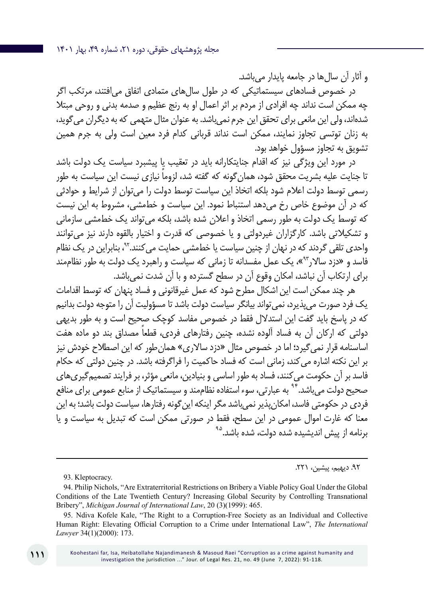و آثار آن سالها در جامعه پایدار میباشد.

در خصوص فسادهای سیستماتیکی که در طول سالهای متمادی اتفاق میافتند، مرتکب اگر چه ممکن است نداند چه افرادی از مردم بر اثر اعمال او به رنج عظیم و صدمه بدنی و روحی مبتال شدهاند، ولی این مانعی برای تحقق این جرم نمیباشد. به عنوان مثال متهمی که به دیگران میگوید، به زنان توتسی تجاوز نمایند، ممکن است نداند قربانی کدام فرد معین است ولی به جرم همین تشویق به تجاوز مسؤول خواهد بود.

در مورد این ویژگی نیز که اقدام جنایتکارانه باید در تعقیب یا پیشبرد سیاست یک دولت باشد تا جنایت علیه بشریت محقق شود، همان ً گونه که گفته شد، لزوما نیازی نیست این سیاست به طور رسمی توسط دولت اعالم شود بلکه اتخاذ این سیاست توسط دولت را میتوان از شرایط و حوادثی که در آن موضوع خاص رخ میدهد استنباط نمود. این سیاست و خطمشی، مشروط به این نیست که توسط یک دولت به طور رسمی اتخاذ و اعالن شده باشد، بلکه میتواند یک خطمشی سازمانی و تشکیالتی باشد. کارگزاران غیردولتی و یا خصوصی که قدرت و اختیار بالقوه دارند نیز میتوانند واحدی تلقی گردند که در نهان از چنین سیاست یا خطمشی حمایت میکنند،92. بنابراین در یک نظام فاسد و »دزد ساالر93«، یک عمل مفسدانه تا زمانی که سیاست و راهبرد یک دولت به طور نظاممند برای ارتکاب آن نباشد، امکان وقوع آن در سطح گسترده و با آن شدت نمیباشد.

هر چند ممکن است این اشکال مطرح شود که عمل غیرقانونی و فساد پنهان که توسط اقدامات یک فرد صورت میپذیرد، نمیتواند بیانگر سیاست دولت باشد تا مسؤولیت آن را متوجه دولت بدانیم که در پاسخ باید گفت این استدالل فقط در خصوص مفاسد کوچک صحیح است و به طور بدیهی ً دولتی که ارکان آن به فساد آلوده نشده، چنین رفتارهای فردی، قطعا مصداق بند دو ماده هفت اساسنامه قرار نمیگیرد؛ اما در خصوص مثال »دزد ساالری« همانطور که این اصطالح خودش نیز بر این نکته اشاره میکند، زمانی است که فساد حاکمیت را فراگرفته باشد. در چنین دولتی که حکام فاسد بر آن حکومت میکنند، فساد به طور اساسی و بنیادین، مانعی مؤثر، بر فرایند تصمیمگیریهای صحیح دولت می باشد.<sup>۹۴</sup> به عبارتی، سوء استفاده نظاممند و سیستماتیک از منابع عمومی برای منافع فردی در حکومتی فاسد، امکان پذیر نمی باشد مگر اینکه این گونه رفتارها، سیاست دولت باشد؛ به این معنا که غارت اموال عمومی در این سطح، فقط در صورتی ممکن است که تبدیل به سیاست و یا برنامه از پیش اندیشیده شده دولت، شده باشد.<sup>۹۵</sup>

#### .92 دیهیم، پیشین، .221

93. Kleptocracy.

<sup>94.</sup> Philip Nichols, "Are Extraterritorial Restrictions on Bribery a Viable Policy Goal Under the Global Conditions of the Late Twentieth Century? Increasing Global Security by Controlling Transnational Bribery", *Michigan Journal of International Law*, 20 (3)(1999): 465.

<sup>95.</sup> Ndiva Kofele Kale, "The Right to a Corruption-Free Society as an Individual and Collective Human Right: Elevating Official Corruption to a Crime under International Law", *The International Lawyer* 34(1)(2000): 173.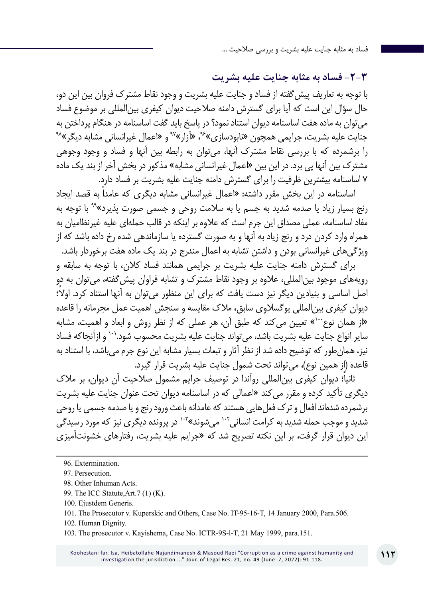**-2-3 فساد به مثابه جنایت علیه بشریت**

با توجه به تعاریف پیشگفته از فساد و جنایت علیه بشریت و وجود نقاط مشترک فروان بین این دو، حال سؤال این است که آیا برای گسترش دامنه صالحیت دیوان کیفری بینالمللی بر موضوع فساد میتوان به ماده هفت اساسنامه دیوان استناد نمود؟ در پاسخ باید گفت اساسنامه در هنگام پرداختن به<br>جنایت علیه بشریت، جرایمی همچون «نابودسازی»<sup>ی</sup>"، «آزار»<sup>به</sup> و «اعمال غیرانسانی مشابه دیگر »<sup>۹۸</sup> را برشمرده که با بررسی نقاط مشترک آنها، میتوان به رابطه بین آنها و فساد و وجود وجوهی مشترک بین آنها پی برد. در این بین «اعمال غیرانسانی مشابه» مذکور در بخش آخر از بند یک ماده 7 اساسنامه بیشترین ظرفیت را برای گسترش دامنه جنایت علیه بشریت بر فساد دارد.

اساسنامه در این بخش مقرر داشته: »اعمال غیرانسانی مشابه دیگری که عامداً به قصد ایجاد رنج بسیار زیاد یا صدمه شدید به جسم یا به سالمت روحی و جسمی صورت پذیرد«99 با توجه به مفاد اساسنامه، عملی مصداق این جرم است که عالوه بر اینکه در قالب حملهای علیه غیرنظامیان به همراه وارد کردن درد و رنج زیاد به آنها و به صورت گسترده یا سازماندهی شده رخ داده باشد که از ویژگیهای غیرانسانی بودن و داشتن تشابه به اعمال مندرج در بند یک ماده هفت برخوردار باشد.

برای گسترش دامنه جنایت علیه بشریت بر جرایمی همانند فساد کالن، با توجه به سابقه و رویههای موجود بینالمللی، عالوه بر وجود نقاط مشترک و تشابه فراوان پیشگفته، میتوان به دو اصل اساسی و بنیادین دیگر نیز دست یافت که برای این منظور می ً توان به آنها استناد کرد. اوال؛ دیوان کیفری بینالمللی یوگسالوی سابق، مالک مقایسه و سنجش اهمیت عمل مجرمانه را قاعده «از همان نوع<sup>۱۰۰</sup>» تعیین می کند که طبق آن، هر عملی که از نظر روش و ابعاد و اهمیت، مشابه سایر انواع جنایت علیه بشریت باشد، میتواند جنایت علیه بشریت محسوب شود101. و ازآنجاکه فساد نیز، همانطور که توضیح داده شد از نظر آثار و تبعات بسیار مشابه این نوع جرم میباشد، با استناد به قاعده (از همین نوع)، می تواند تحت شمول جنایت علیه بشریت قرار گیرد.

ً ثانیا؛ دیوان کیفری بینالمللی روآندا در توصیف جرایم مشمول صالحیت آن دیوان، بر مالک دیگری تأکید کرده و مقرر میکند »اعمالی که در اساسنامه دیوان تحت عنوان جنایت علیه بشریت برشمرده شدهاند افعال و ترک فعل هایی هستند که عامدانه باعث ورود رنج و یا صدمه جسمی یا روحی شدید و موجب حمله شدید به کرامت انسانی<sup>۱۰۲</sup> میشوند»<sup>۱۰۳</sup> در پرونده دیگری نیز که مورد رسیدگی این دیوان قرار گرفت، بر این نکته تصریح شد که »جرایم علیه بشریت، رفتارهای خشونتآمیزی

<sup>96</sup>. Extermination.

<sup>97</sup>. Persecution.

<sup>98.</sup> Other Inhuman Acts.

<sup>99.</sup> The ICC Statute,Art.7 (1) (K).

<sup>100.</sup> Ejustdem Generis.

<sup>101</sup>. The Prosecutor v. Kuperskic and Others, Case No. IT-95-16-T, 14 January 2000, Para.506.

<sup>102.</sup> Human Dignity.

<sup>103</sup>. The prosecutor v. Kayishema, Case No. ICTR-9S-l-T, 21 May 1999, para.151.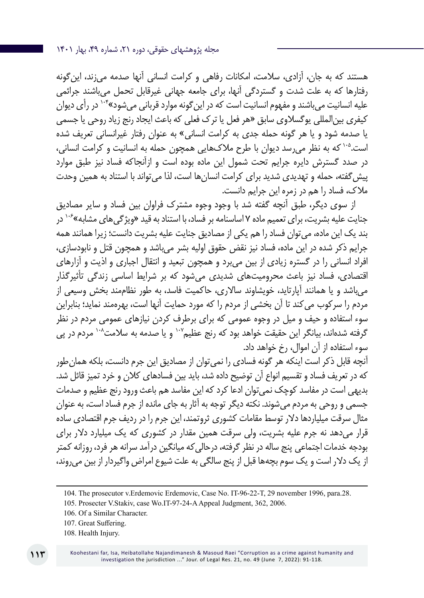هستند که به جان، آزادی، سالمت، امکانات رفاهی و کرامت انسانی آنها صدمه میزند، اینگونه رفتارها که به علت شدت و گستردگی آنها، برای جامعه جهانی غیرقابل تحمل میباشند جرائمی علیه انسانیت می باشند و مفهوم انسانیت است که در این گونه موارد قربانی می شود»<sup>۱۰۴</sup> در رأی دیوان کیفری بینالمللی یوگسالوی سابق »هر فعل یا ترک فعلی که باعث ایجاد رنج زیاد روحی یا جسمی یا صدمه شود و یا هر گونه حمله جدی به کرامت انسانی« به عنوان رفتار غیرانسانی تعریف شده است. ۱۰۵ که به نظر می رسد دیوان با طرح ملاکهایی همچون حمله به انسانیت و کرامت انسانی، در صدد گسترش دایره جرایم تحت شمول این ماده بوده است و ازآنجاکه فساد نیز طبق موارد پیش گفته، حمله و تهدیدی شدید برای کرامت انسانها است، لذا می تواند با استناد به همین وحدت مالک، فساد را هم در زمره این جرایم دانست.

از سوی دیگر، طبق آنچه گفته شد با وجود وجوه مشترک فراوان بین فساد و سایر مصادیق جنایت علیه بشریت، برای تعمیم ماده ۷ اساسنامه بر فساد، با استناد به قید «ویژگیهای مشابه»<sup>۱۰۶</sup> در بند یک این ماده، میتوان فساد را هم یکی از مصادیق جنایت علیه بشریت دانست؛ زیرا همانند همه جرایم ذکر شده در این ماده، فساد نیز نقض حقوق اولیه بشر میباشد و همچون قتل و نابودسازی، افراد انسانی را در گستره زیادی از بین میبرد و همچون تبعید و انتقال اجباری و اذیت و آزارهای اقتصادی، فساد نیز باعث محرومیتهای شدیدی میشود که بر شرایط اساسی زندگی تأثیرگذار میباشد و یا همانند آپارتاید، خویشاوند ساالری، حاکمیت فاسد، به طور نظاممند بخش وسیعی از مردم را سرکوب میکند تا آن بخشی از مردم را که مورد حمایت آنها است، بهرهمند نماید؛ بنابراین سوء استفاده و حیف و میل در وجوه عمومی که برای برطرف کردن نیازهای عمومی مردم در نظر گرفته شدهاند، بیانگر این حقیقت خواهد بود که رنج عظیم ۱۰٬ و یا صدمه به سلامت<sup>۱۰۸</sup> مردم در پی سوء استفاده از آن اموال، رخ خواهد داد.

آنچه قابل ذکر است اینکه هر گونه فسادی را نمیتوان از مصادیق این جرم دانست، بلکه همانطور که در تعریف فساد و تقسیم انواع آن توضیح داده شد، باید بین فسادهای کلان و خرد تمیز قائل شد. بدیهی است در مفاسد کوچک نمیتوان ادعا کرد که این مفاسد هم باعث ورود رنج عظیم و صدمات جسمی و روحی به مردم میشوند. نکته دیگر توجه به آثار به جای مانده از جرم فساد است، به عنوان مثال سرقت میلیاردها دالر توسط مقامات کشوری ثروتمند، این جرم را در ردیف جرم اقتصادی ساده قرار میدهد نه جرم علیه بشریت، ولی سرقت همین مقدار در کشوری که یک میلیارد دالر برای بودجه خدمات اجتماعی پنج ساله در نظر گرفته، درحالیکه میانگین درآمد سرانه هر فرد، روزانه کمتر از یک دالر است و یک سوم بچهها قبل از پنج سالگی به علت شیوع امراض واگیردار از بین میروند،

<sup>104.</sup> The prosecutor v.Erdemovic Erdemovic, Case No. IT-96-22-T, 29 november 1996, para.28.

<sup>105</sup>. Prosecter V.Stakiv, case Wo.IT-97-24-A Appeal Judgment, 362, 2006.

<sup>106.</sup> Of a Similar Character.

<sup>107</sup>. Great Suffering.

<sup>108.</sup> Health Injury.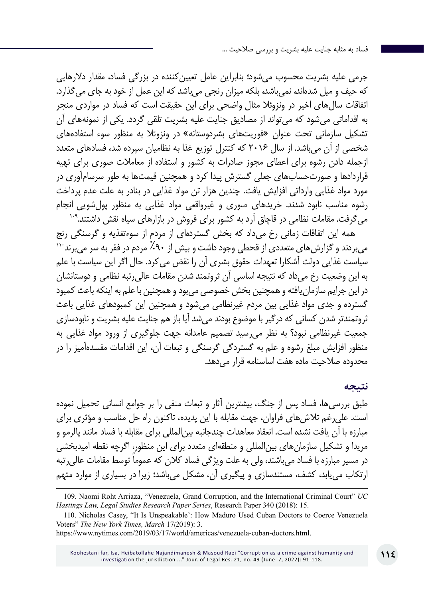جرمی علیه بشریت محسوب میشود؛ بنابراین عامل تعیینکننده در بزرگی فساد، مقدار دالرهایی که حیف و میل شدهاند، نمیباشد، بلکه میزان رنجی میباشد که این عمل از خود به جای میگذارد. اتفاقات سالهای اخیر در ونزوئال مثال واضحی برای این حقیقت است که فساد در مواردی منجر به اقداماتی میشود که میتواند از مصادیق جنایت علیه بشریت تلقی گردد. یکی از نمونههای آن تشکیل سازمانی تحت عنوان »فوریتهای بشردوستانه« در ونزوئال به منظور سوء استفادههای شخصی از آن میباشد. از سال 2016 که کنترل توزیع غذا به نظامیان سپرده شد، فسادهای متعدد ازجمله دادن رشوه برای اعطای مجوز صادرات به کشور و استفاده از معامالت صوری برای تهیه قراردادها و صورتحسابهای جعلی گسترش پیدا کرد و همچنین قیمتها به طور سرسامآوری در مورد مواد غذایی وارداتی افزایش یافت. چندین هزار تن مواد غذایی در بنادر به علت عدم پرداخت رشوه مناسب نابود شدند. خریدهای صوری و غیرواقعی مواد غذایی به منظور پولشویی انجام<br>میگرفت. مقامات نظامی در قاچاق آرد به کشور برای فروش در بازارهای سیاه نقش داشتند.<sup>۹۰۹</sup>

همه این اتفاقات زمانی رخ میداد که بخش گستردهای از مردم از سوءتغذیه و گرسنگی رنج<br>میبردند و گزارش های متعددی از قحطی وجود داشت و بیش از ۹۰٪ مردم در فقر به سر می برند<sup>۱۱۰</sup> سیاست غذایی دولت آشکارا تعهدات حقوق بشری آن را نقض میکرد. حال اگر این سیاست با علم به این وضعیت رخ میداد که نتیجه اساسی آن ثروتمند شدن مقامات عالیرتبه نظامی و دوستانشان در این جرایم سازمانیافته و همچنین بخش خصوصی میبود و همچنین با علم به اینکه باعث کمبود گسترده و جدی مواد غذایی بین مردم غیرنظامی میشود و همچنین این کمبودهای غذایی باعث ثروتمندتر شدن کسانی که درگیر با موضوع بودند میشد آیا باز هم جنایت علیه بشریت و نابودسازی جمعیت غیرنظامی نبود؟ به نظر میرسید تصمیم عامدانه جهت جلوگیری از ورود مواد غذایی به منظور افزایش مبلغ رشوه و علم به گستردگی گرسنگی و تبعات آن، این اقدامات مفسدهآمیز را در محدوده صلاحیت ماده هفت اساسنامه قرار می دهد.

#### **نتیجه**

طبق بررسیها، فساد پس از جنگ، بیشترین آثار و تبعات منفی را بر جوامع انسانی تحمیل نموده است. علیرغم تالشهای فراوان، جهت مقابله با این پدیده، تاکنون راه حل مناسب و مؤثری برای مبارزه با آن یافت نشده است. انعقاد معاهدات چندجانبه بینالمللی برای مقابله با فساد مانند پالرمو و مریدا و تشکیل سازمانهای بینالمللی و منطقهای متعدد برای این منظور، اگرچه نقطه امیدبخشی در مسیر مبارزه با فساد می باشند، ولی به علت ویژگی فساد کلان که عموماً توسط مقامات عالی رتبه ارتکاب مییابد، کشف، مستندسازی و پیگیری آن، مشکل میباشد؛ زیرا در بسیاری از موارد متهم

<sup>109.</sup> Naomi Roht Arriaza, "Venezuela, Grand Corruption, and the International Criminal Court" *UC Hastings Law, Legal Studies Research Paper Series*, Research Paper 340 (2018): 15.

<sup>110.</sup> Nicholas Casey, "It Is Unspeakable': How Maduro Used Cuban Doctors to Coerce Venezuela Voters" *The New York Times, March* 17(2019): 3.

https://www.nytimes.com/2019/03/17/world/americas/venezuela-cuban-doctors.html.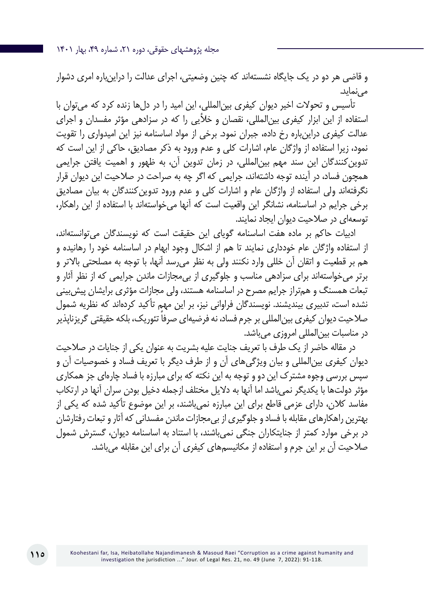مجله پژوهشهای حقوقی، دوره ،21 شماره ،49 بهار 1401

و قاضی هر دو در یک جایگاه نشستهاند که چنین وضعیتی، اجرای عدالت را دراینباره امری دشوار مه نماید.

تأسیس و تحوالت اخیر دیوان کیفری بینالمللی، این امید را در دلها زنده کرد که میتوان با استفاده از این ابزار کیفری بینالمللی، نقصان و خألیی را که در سزادهی مؤثر مفسدان و اجرای عدالت کیفری دراینباره رخ داده، جبران نمود. برخی از مواد اساسنامه نیز این امیدواری را تقویت نمود، زیرا استفاده از واژگان عام، اشارات کلی و عدم ورود به ذکر مصادیق، حاکی از این است که تدوینکنندگان این سند مهم بینالمللی، در زمان تدوین آن، به ظهور و اهمیت یافتن جرایمی همچون فساد، در آینده توجه داشتهاند، جرایمی که اگر چه به صراحت در صالحیت این دیوان قرار نگرفتهاند ولی استفاده از واژگان عام و اشارات کلی و عدم ورود تدوینکنندگان به بیان مصادیق برخی جرایم در اساسنامه، نشانگر این واقعیت است که آنها میخواستهاند با استفاده از این راهکار، توسعهای در صالحیت دیوان ایجاد نمایند.

ادبیات حاکم بر ماده هفت اساسنامه گویای این حقیقت است که نویسندگان میتوانستهاند، از استفاده واژگان عام خودداری نمایند تا هم از اشکال وجود ابهام در اساسنامه خود را رهانیده و هم بر قطعیت و اتقان آن خللی وارد نکنند ولی به نظر میرسد آنها، با توجه به مصلحتی باالتر و برتر میخواستهاند برای سزادهی مناسب و جلوگیری از بیمجازات ماندن جرایمی که از نظر آثار و تبعات همسنگ و همتراز جرایم مصرح در اساسنامه هستند، ولی مجازات مؤثری برایشان پیشبینی نشده است، تدبیری بیندیشند. نویسندگان فراوانی نیز، بر این مهم تأکید کردهاند که نظریه شمول صالاحیت دیوان کیفری بین|لمللی بر جرم فساد، نه فرضیهای صرفاً تئوریک، بلکه حقیقتی گریزناپذیر در مناسبات بینالمللی امروزی میباشد.

در مقاله حاضر از یک طرف با تعریف جنایت علیه بشریت به عنوان یکی از جنایات در صالحیت دیوان کیفری بینالمللی و بیان ویژگیهای آن و از طرف دیگر با تعریف فساد و خصوصیات آن و سپس بررسی وجوه مشترک این دو و توجه به این نکته که برای مبارزه با فساد چارهای جز همکاری مؤثر دولتها با یکدیگر نمیباشد اما آنها به دالیل مختلف ازجمله دخیل بودن سران آنها در ارتکاب مفاسد کالن، دارای عزمی قاطع برای این مبارزه نمیباشند، بر این موضوع تأکید شده که یکی از بهترین راهکارهای مقابله با فساد و جلوگیری از بیمجازات ماندن مفسدانی که آثار و تبعات رفتارشان در برخی موارد کمتر از جنایتکاران جنگی نمیباشند، با استناد به اساسنامه دیوان، گسترش شمول صالحیت آن بر این جرم و استفاده از مکانیسمهای کیفری آن برای این مقابله میباشد.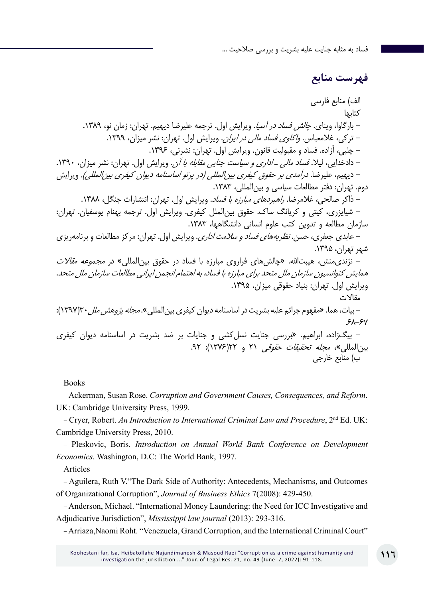## **فهرست منابع**

الف) منابع فارسی کتابها – بارگاوا، وینای. *چالش فساد در آسیا*. ویرایش اول. ترجمه علیرضا دیهیم. تهران: زمان نو، ۱۳۸۹. - ترکی، غلامعباس. و*اکاوی فساد مالی در ایران*. ویرایش اول. تهران: نشر میزان، ۱۳۹۹. - چلبی، آزاده. فساد و مقبولیت قانون. ویرایش اول. تهران: نشرنی، .1396 - دادخدایی، لیال. فساد مالی ـ اداری و سیاست جنایی مقابله با آن. ویرایش اول. تهران: نشر میزان، .1390 - دیهیم، علیرضا. درآمدی بر حقوق کیفری بینالمللی )در پرتو اساسنامه دیوان کیفری بینالمللی(. ویرایش دوم. تهران: دفتر مطالعات سیاسی و بین المللی، ۱۳۸۳. - ذاکر صالحی، غلامرضا. *راهبردهای مبارزه با فساد*. ویرایش اول. تهران: انتشارات جنگل، ١٣٨٨. - شیایزری، کیتی و کریانگ ساک. حقوق بینالملل کیفری. ویرایش اول. ترجمه بهنام یوسفیان. تهران: سازمان مطالعه و تدوین کتب علوم انسانی دانشگاهها، .1383 - عابدی جعفری، حسن. نظریههای فساد و سالمت اداری. ویرایش اول. تهران: مرکز مطالعات و برنامهریزی شهر تهران، .1395 - نژندی منش، هیبتالله. «چالش های فراروی مبارزه با فساد در حقوق بین المللی» در *مجموعه مقالات* همایش کنوانسیون سازمان ملل متحد برای مبارزه با فساد، به اهتمام انجمن ایرانی مطالعات سازمان ملل متحد. ویرایش اول. تهران: بنیاد حقوقی میزان، ۱۳۹۵. مقاالت - بیات، هما. «مفهوم جرائم علیه بشریت در اساسنامه دیوان کیفری بینالمللی». *مجله پژوهش ملل*۳۰(۱۳۹۷):  $5A-5V$ - بیگزاده، ابراهیم. »بررسی جنایت نسلکشی و جنایات بر ضد بشریت در اساسنامه دیوان کیفری بین المللی»، *مجله تحقیقات حقوقی ۲*۱ و ۲۲(۱۳۷۶): ۹۲. ب( منابع خارجی

Books

- Ackerman, Susan Rose. *Corruption and Government Causes, Consequences, and Reform*. UK: Cambridge University Press, 1999.

- Cryer, Robert. *An Introduction to International Criminal Law and Procedure*, 2<sup>nd</sup> Ed. UK: Cambridge University Press, 2010.

- Pleskovic, Boris. *Introduction on Annual World Bank Conference on Development Economics.* Washington, D.C: The World Bank, 1997.

Articles

- Aguilera, Ruth V."The Dark Side of Authority: Antecedents, Mechanisms, and Outcomes of Organizational Corruption", *Journal of Business Ethics* 7(2008): 429-450.

- Anderson, Michael. "International Money Laundering: the Need for ICC Investigative and Adjudicative Jurisdiction", *Mississippi law journal* (2013): 293-316.

- Arriaza,Naomi Roht. "Venezuela, Grand Corruption, and the International Criminal Court"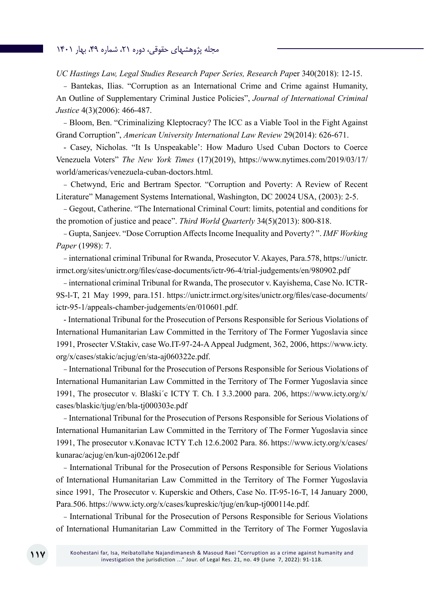#### مجله پژوهشهای حقوقی، دوره ۲۱، شماره ۴۹، بهار ۱۴۰۱

*UC Hastings Law, Legal Studies Research Paper Series, Research Pap*er 340(2018): 12-15.

- Bantekas, Ilias. "Corruption as an International Crime and Crime against Humanity, An Outline of Supplementary Criminal Justice Policies", *Journal of International Criminal Justice* 4(3)(2006): 466-487.

- Bloom, Ben. "Criminalizing Kleptocracy? The ICC as a Viable Tool in the Fight Against Grand Corruption", *American University International Law Review* 29(2014): 626-671.

- Casey, Nicholas. "It Is Unspeakable': How Maduro Used Cuban Doctors to Coerce Venezuela Voters" *The New York Times* (17)(2019), https://www.nytimes.com/2019/03/17/ world/americas/venezuela-cuban-doctors.html.

- Chetwynd, Eric and Bertram Spector. "Corruption and Poverty: A Review of Recent Literature" Management Systems International, Washington, DC 20024 USA, (2003): 2-5.

- Gegout, Catherine. "The International Criminal Court: limits, potential and conditions for the promotion of justice and peace". *Third World Quarterly* 34(5)(2013): 800-818.

- Gupta, Sanjeev. "Dose Corruption Affects Income Inequality and Poverty? ". *IMF Working Paper* (1998): 7.

- international criminal Tribunal for Rwanda, Prosecutor V. Akayes, Para.578, https://unictr. irmct.org/sites/unictr.org/files/case-documents/ictr-96-4/trial-judgements/en/980902.pdf

- international criminal Tribunal for Rwanda, The prosecutor v. Kayishema, Case No. ICTR-9S-l-T, 21 May 1999, para.151. https://unictr.irmct.org/sites/unictr.org/files/case-documents/ ictr-95-1/appeals-chamber-judgements/en/010601.pdf.

- International Tribunal for the Prosecution of Persons Responsible for Serious Violations of International Humanitarian Law Committed in the Territory of The Former Yugoslavia since 1991, Prosecter V.Stakiv, case Wo.IT-97-24-A Appeal Judgment, 362, 2006, https://www.icty. org/x/cases/stakic/acjug/en/sta-aj060322e.pdf.

- International Tribunal for the Prosecution of Persons Responsible for Serious Violations of International Humanitarian Law Committed in the Territory of The Former Yugoslavia since 1991, The prosecutor v. Blaški´c ICTY T. Ch. I 3.3.2000 para. 206, https://www.icty.org/x/ cases/blaskic/tjug/en/bla-tj000303e.pdf

- International Tribunal for the Prosecution of Persons Responsible for Serious Violations of International Humanitarian Law Committed in the Territory of The Former Yugoslavia since 1991, The prosecutor v.Konavac ICTY T.ch 12.6.2002 Para. 86. https://www.icty.org/x/cases/ kunarac/acjug/en/kun-aj020612e.pdf

- International Tribunal for the Prosecution of Persons Responsible for Serious Violations of International Humanitarian Law Committed in the Territory of The Former Yugoslavia since 1991, The Prosecutor v. Kuperskic and Others, Case No. IT-95-16-T, 14 January 2000, Para.506. https://www.icty.org/x/cases/kupreskic/tjug/en/kup-tj000114e.pdf.

- International Tribunal for the Prosecution of Persons Responsible for Serious Violations of International Humanitarian Law Committed in the Territory of The Former Yugoslavia